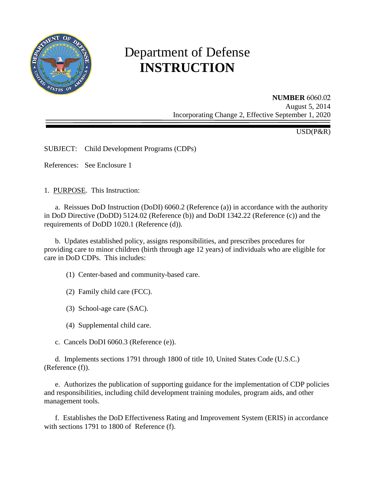

# Department of Defense **INSTRUCTION**

**NUMBER** 6060.02 August 5, 2014 Incorporating Change 2, Effective September 1, 2020

USD(P&R)

SUBJECT: Child Development Programs (CDPs)

References: See Enclosure 1

1. PURPOSE. This Instruction:

 a. Reissues DoD Instruction (DoDI) 6060.2 (Reference (a)) in accordance with the authority in DoD Directive (DoDD) 5124.02 (Reference (b)) and DoDI 1342.22 (Reference (c)) and the requirements of DoDD 1020.1 (Reference (d)).

 b. Updates established policy, assigns responsibilities, and prescribes procedures for providing care to minor children (birth through age 12 years) of individuals who are eligible for care in DoD CDPs. This includes:

(1) Center-based and community-based care.

- (2) Family child care (FCC).
- (3) School-age care (SAC).
- (4) Supplemental child care.
- c. Cancels DoDI 6060.3 (Reference (e)).

 d. Implements sections 1791 through 1800 of title 10, United States Code (U.S.C.) (Reference (f)).

 e. Authorizes the publication of supporting guidance for the implementation of CDP policies and responsibilities, including child development training modules, program aids, and other management tools.

 f. Establishes the DoD Effectiveness Rating and Improvement System (ERIS) in accordance with sections 1791 to 1800 of Reference (f).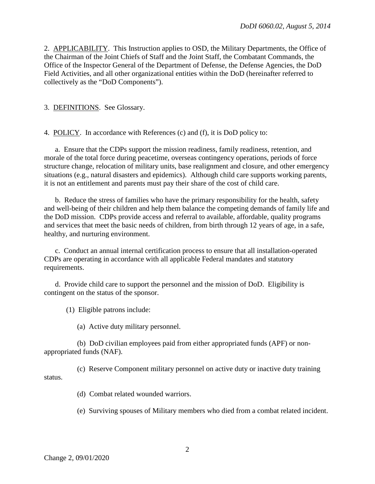2. APPLICABILITY. This Instruction applies to OSD, the Military Departments, the Office of the Chairman of the Joint Chiefs of Staff and the Joint Staff, the Combatant Commands, the Office of the Inspector General of the Department of Defense, the Defense Agencies, the DoD Field Activities, and all other organizational entities within the DoD (hereinafter referred to collectively as the "DoD Components").

3. DEFINITIONS. See Glossary.

4. POLICY. In accordance with References (c) and (f), it is DoD policy to:

 a. Ensure that the CDPs support the mission readiness, family readiness, retention, and morale of the total force during peacetime, overseas contingency operations, periods of force structure change, relocation of military units, base realignment and closure, and other emergency situations (e.g., natural disasters and epidemics). Although child care supports working parents, it is not an entitlement and parents must pay their share of the cost of child care.

b. Reduce the stress of families who have the primary responsibility for the health, safety and well-being of their children and help them balance the competing demands of family life and the DoD mission. CDPs provide access and referral to available, affordable, quality programs and services that meet the basic needs of children, from birth through 12 years of age, in a safe, healthy, and nurturing environment.

c. Conduct an annual internal certification process to ensure that all installation-operated CDPs are operating in accordance with all applicable Federal mandates and statutory requirements.

 d. Provide child care to support the personnel and the mission of DoD. Eligibility is contingent on the status of the sponsor.

(1) Eligible patrons include:

(a) Active duty military personnel.

 (b) DoD civilian employees paid from either appropriated funds (APF) or nonappropriated funds (NAF).

 (c) Reserve Component military personnel on active duty or inactive duty training status.

(d) Combat related wounded warriors.

(e) Surviving spouses of Military members who died from a combat related incident.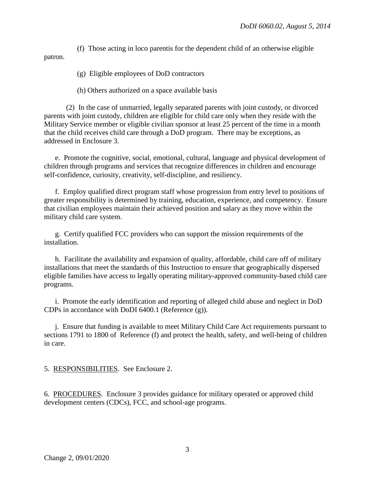(f) Those acting in loco parentis for the dependent child of an otherwise eligible patron.

(g) Eligible employees of DoD contractors

(h) Others authorized on a space available basis

 (2) In the case of unmarried, legally separated parents with joint custody, or divorced parents with joint custody, children are eligible for child care only when they reside with the Military Service member or eligible civilian sponsor at least 25 percent of the time in a month that the child receives child care through a DoD program. There may be exceptions, as addressed in Enclosure 3.

e. Promote the cognitive, social, emotional, cultural, language and physical development of children through programs and services that recognize differences in children and encourage self-confidence, curiosity, creativity, self-discipline, and resiliency.

 f. Employ qualified direct program staff whose progression from entry level to positions of greater responsibility is determined by training, education, experience, and competency. Ensure that civilian employees maintain their achieved position and salary as they move within the military child care system.

g. Certify qualified FCC providers who can support the mission requirements of the installation.

 h. Facilitate the availability and expansion of quality, affordable, child care off of military installations that meet the standards of this Instruction to ensure that geographically dispersed eligible families have access to legally operating military-approved community-based child care programs.

i. Promote the early identification and reporting of alleged child abuse and neglect in DoD CDPs in accordance with DoDI 6400.1 (Reference (g)).

 j. Ensure that funding is available to meet Military Child Care Act requirements pursuant to sections 1791 to 1800 of Reference (f) and protect the health, safety, and well-being of children in care.

5. RESPONSIBILITIES. See Enclosure 2.

6. PROCEDURES. Enclosure 3 provides guidance for military operated or approved child development centers (CDCs), FCC, and school-age programs.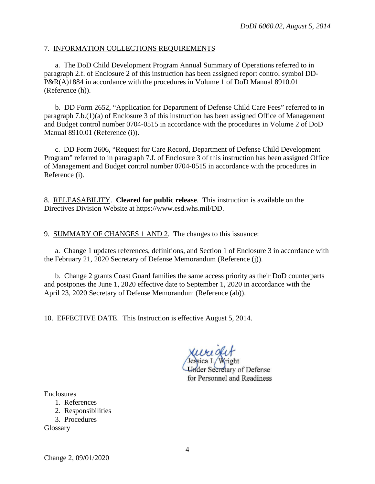#### 7. INFORMATION COLLECTIONS REQUIREMENTS

a. The DoD Child Development Program Annual Summary of Operations referred to in paragraph 2.f. of Enclosure 2 of this instruction has been assigned report control symbol DD-P&R(A)1884 in accordance with the procedures in Volume 1 of DoD Manual 8910.01 (Reference (h)).

b. DD Form 2652, "Application for Department of Defense Child Care Fees" referred to in paragraph 7.b.(1)(a) of Enclosure 3 of this instruction has been assigned Office of Management and Budget control number 0704-0515 in accordance with the procedures in Volume 2 of DoD Manual 8910.01 (Reference (i)).

c. DD Form 2606, "Request for Care Record, Department of Defense Child Development Program" referred to in paragraph 7.f. of Enclosure 3 of this instruction has been assigned Office of Management and Budget control number 0704-0515 in accordance with the procedures in Reference (i).

8. RELEASABILITY. **Cleared for public release**. This instruction is available on the Directives Division Website at https://www.esd.whs.mil/DD.

9. SUMMARY OF CHANGES 1 AND 2. The changes to this issuance:

a. Change 1 updates references, definitions, and Section 1 of Enclosure 3 in accordance with the February 21, 2020 Secretary of Defense Memorandum (Reference (j)).

b. Change 2 grants Coast Guard families the same access priority as their DoD counterparts and postpones the June 1, 2020 effective date to September 1, 2020 in accordance with the April 23, 2020 Secretary of Defense Memorandum (Reference (ab)).

10. EFFECTIVE DATE. This Instruction is effective August 5, 2014.

**Under Secretary of Defense** for Personnel and Readiness

**Enclosures** 

- 1. References
- 2. Responsibilities
- 3. Procedures

Glossary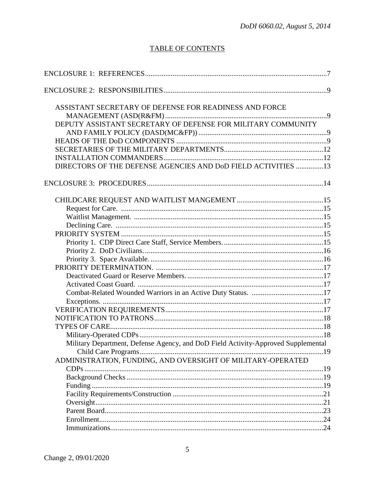# **TABLE OF CONTENTS**

| ASSISTANT SECRETARY OF DEFENSE FOR READINESS AND FORCE                            |  |
|-----------------------------------------------------------------------------------|--|
|                                                                                   |  |
| DEPUTY ASSISTANT SECRETARY OF DEFENSE FOR MILITARY COMMUNITY                      |  |
|                                                                                   |  |
|                                                                                   |  |
|                                                                                   |  |
|                                                                                   |  |
| DIRECTORS OF THE DEFENSE AGENCIES AND DoD FIELD ACTIVITIES 13                     |  |
|                                                                                   |  |
|                                                                                   |  |
|                                                                                   |  |
|                                                                                   |  |
|                                                                                   |  |
|                                                                                   |  |
|                                                                                   |  |
|                                                                                   |  |
|                                                                                   |  |
|                                                                                   |  |
|                                                                                   |  |
|                                                                                   |  |
|                                                                                   |  |
|                                                                                   |  |
|                                                                                   |  |
|                                                                                   |  |
|                                                                                   |  |
|                                                                                   |  |
| Military Department, Defense Agency, and DoD Field Activity-Approved Supplemental |  |
|                                                                                   |  |
| ADMINISTRATION, FUNDING, AND OVERSIGHT OF MILITARY-OPERATED                       |  |
|                                                                                   |  |
|                                                                                   |  |
|                                                                                   |  |
|                                                                                   |  |
|                                                                                   |  |
|                                                                                   |  |
|                                                                                   |  |
|                                                                                   |  |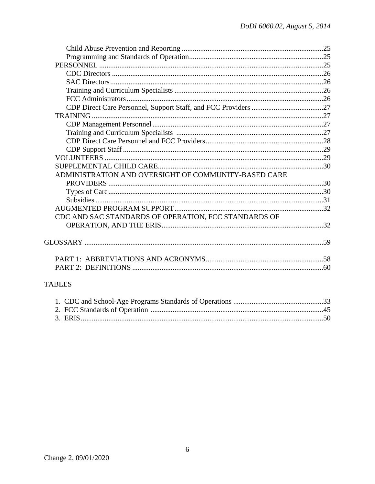| ADMINISTRATION AND OVERSIGHT OF COMMUNITY-BASED CARE |  |
|------------------------------------------------------|--|
|                                                      |  |
|                                                      |  |
|                                                      |  |
|                                                      |  |
| CDC AND SAC STANDARDS OF OPERATION, FCC STANDARDS OF |  |
|                                                      |  |
|                                                      |  |
|                                                      |  |
|                                                      |  |
|                                                      |  |
|                                                      |  |
|                                                      |  |
| <b>TABLES</b>                                        |  |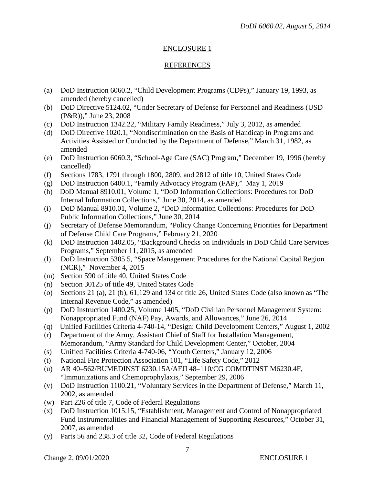# ENCLOSURE 1

#### REFERENCES

- (a) DoD Instruction 6060.2, "Child Development Programs (CDPs)," January 19, 1993, as amended (hereby cancelled)
- (b) DoD Directive 5124.02, "Under Secretary of Defense for Personnel and Readiness (USD (P&R))," June 23, 2008
- (c) DoD Instruction 1342.22, "Military Family Readiness," July 3, 2012*,* as amended
- (d) DoD Directive 1020.1, "Nondiscrimination on the Basis of Handicap in Programs and Activities Assisted or Conducted by the Department of Defense," March 31, 1982, as amended
- (e) DoD Instruction 6060.3, "School-Age Care (SAC) Program," December 19, 1996 (hereby cancelled)
- (f) Sections 1783, 1791 through 1800, 2809, and 2812 of title 10, United States Code
- (g) DoD Instruction 6400.1, "Family Advocacy Program (FAP)," May 1, 2019
- (h) DoD Manual 8910.01, Volume 1, "DoD Information Collections: Procedures for DoD Internal Information Collections," June 30, 2014, as amended
- (i) DoD Manual 8910.01, Volume 2, "DoD Information Collections: Procedures for DoD Public Information Collections," June 30, 2014
- (j) Secretary of Defense Memorandum, "Policy Change Concerning Priorities for Department of Defense Child Care Programs," February 21, 2020
- (k) DoD Instruction 1402.05, "Background Checks on Individuals in DoD Child Care Services Programs," September 11, 2015, as amended
- (l) DoD Instruction 5305.5, "Space Management Procedures for the National Capital Region (NCR)," November 4, 2015
- (m) Section 590 of title 40, United States Code
- (n) Section 30125 of title 49, United States Code
- (o) Sections 21 (a), 21 (b), 61,129 and 134 of title 26, United States Code (also known as "The Internal Revenue Code," as amended)
- (p) DoD Instruction 1400.25, Volume 1405, "DoD Civilian Personnel Management System: Nonappropriated Fund (NAF) Pay, Awards, and Allowances," June 26, 2014
- (q) Unified Facilities Criteria 4-740-14, "Design: Child Development Centers," August 1, 2002
- (r) Department of the Army, Assistant Chief of Staff for Installation Management, Memorandum, "Army Standard for Child Development Center," October, 2004
- (s) Unified Facilities Criteria 4-740-06, "Youth Centers," January 12, 2006
- (t) National Fire Protection Association 101, "Life Safety Code," 2012
- (u) AR 40–562/BUMEDINST 6230.15A/AFJI 48–110/CG COMDTINST M6230.4F, "Immunizations and Chemoprophylaxis," September 29, 2006
- (v) DoD Instruction 1100.21, "Voluntary Services in the Department of Defense," March 11, 2002, as amended
- (w) Part 226 of title 7, Code of Federal Regulations
- (x) DoD Instruction 1015.15, "Establishment, Management and Control of Nonappropriated Fund Instrumentalities and Financial Management of Supporting Resources," October 31, 2007, as amended
- (y) Parts 56 and 238.3 of title 32, Code of Federal Regulations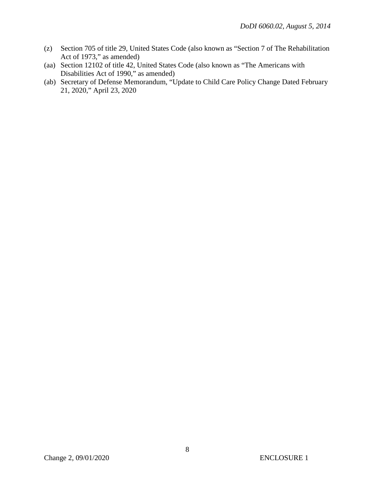- (z) Section 705 of title 29, United States Code (also known as "Section 7 of The Rehabilitation Act of 1973," as amended)
- (aa) Section 12102 of title 42, United States Code (also known as "The Americans with Disabilities Act of 1990," as amended)
- (ab) Secretary of Defense Memorandum, "Update to Child Care Policy Change Dated February 21, 2020," April 23, 2020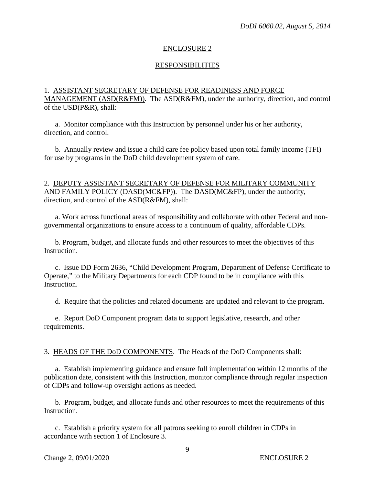#### ENCLOSURE 2

#### RESPONSIBILITIES

#### 1. ASSISTANT SECRETARY OF DEFENSE FOR READINESS AND FORCE MANAGEMENT (ASD(R&FM)). The ASD(R&FM), under the authority, direction, and control of the USD(P&R), shall:

a. Monitor compliance with this Instruction by personnel under his or her authority, direction, and control.

 b. Annually review and issue a child care fee policy based upon total family income (TFI) for use by programs in the DoD child development system of care.

#### 2. DEPUTY ASSISTANT SECRETARY OF DEFENSE FOR MILITARY COMMUNITY AND FAMILY POLICY (DASD(MC&FP)). The DASD(MC&FP), under the authority, direction, and control of the ASD(R&FM), shall:

 a. Work across functional areas of responsibility and collaborate with other Federal and nongovernmental organizations to ensure access to a continuum of quality, affordable CDPs.

 b. Program, budget, and allocate funds and other resources to meet the objectives of this Instruction.

 c. Issue DD Form 2636, "Child Development Program, Department of Defense Certificate to Operate," to the Military Departments for each CDP found to be in compliance with this **Instruction** 

d. Require that the policies and related documents are updated and relevant to the program.

 e. Report DoD Component program data to support legislative, research, and other requirements.

3. HEADS OF THE DoD COMPONENTS. The Heads of the DoD Components shall:

a. Establish implementing guidance and ensure full implementation within 12 months of the publication date, consistent with this Instruction, monitor compliance through regular inspection of CDPs and follow-up oversight actions as needed.

 b. Program, budget, and allocate funds and other resources to meet the requirements of this Instruction.

c. Establish a priority system for all patrons seeking to enroll children in CDPs in accordance with section 1 of Enclosure 3.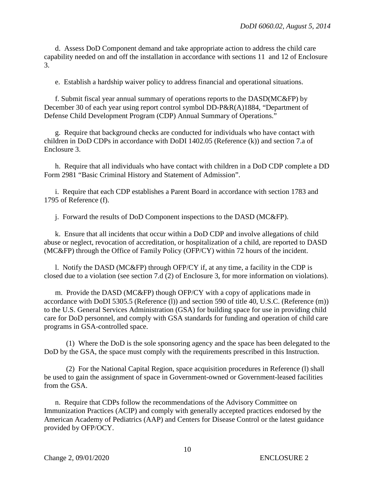d. Assess DoD Component demand and take appropriate action to address the child care capability needed on and off the installation in accordance with sections 11 and 12 of Enclosure 3.

e. Establish a hardship waiver policy to address financial and operational situations.

 f. Submit fiscal year annual summary of operations reports to the DASD(MC&FP) by December 30 of each year using report control symbol DD-P&R(A)1884, "Department of Defense Child Development Program (CDP) Annual Summary of Operations."

g. Require that background checks are conducted for individuals who have contact with children in DoD CDPs in accordance with DoDI 1402.05 (Reference (k)) and section 7.a of Enclosure 3.

 h. Require that all individuals who have contact with children in a DoD CDP complete a DD Form 2981 "Basic Criminal History and Statement of Admission".

 i. Require that each CDP establishes a Parent Board in accordance with section 1783 and 1795 of Reference (f).

j. Forward the results of DoD Component inspections to the DASD (MC&FP).

 k. Ensure that all incidents that occur within a DoD CDP and involve allegations of child abuse or neglect, revocation of accreditation, or hospitalization of a child, are reported to DASD (MC&FP) through the Office of Family Policy (OFP/CY) within 72 hours of the incident.

 l. Notify the DASD (MC&FP) through OFP/CY if, at any time, a facility in the CDP is closed due to a violation (see section 7.d (2) of Enclosure 3, for more information on violations).

 m. Provide the DASD (MC&FP) though OFP/CY with a copy of applications made in accordance with DoDI 5305.5 (Reference (l)) and section 590 of title 40, U.S.C. (Reference (m)) to the U.S. General Services Administration (GSA) for building space for use in providing child care for DoD personnel, and comply with GSA standards for funding and operation of child care programs in GSA-controlled space.

 (1) Where the DoD is the sole sponsoring agency and the space has been delegated to the DoD by the GSA, the space must comply with the requirements prescribed in this Instruction.

 (2) For the National Capital Region, space acquisition procedures in Reference (l) shall be used to gain the assignment of space in Government-owned or Government-leased facilities from the GSA.

 n. Require that CDPs follow the recommendations of the Advisory Committee on Immunization Practices (ACIP) and comply with generally accepted practices endorsed by the American Academy of Pediatrics (AAP) and Centers for Disease Control or the latest guidance provided by OFP/OCY.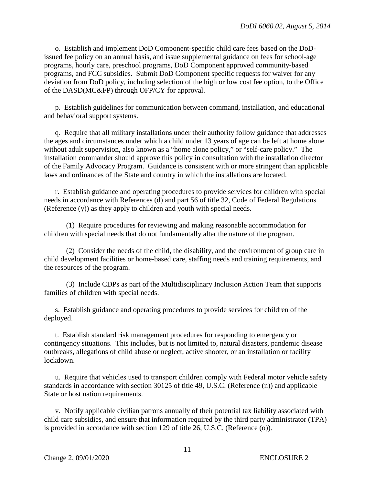o. Establish and implement DoD Component-specific child care fees based on the DoDissued fee policy on an annual basis, and issue supplemental guidance on fees for school-age programs, hourly care, preschool programs, DoD Component approved community-based programs, and FCC subsidies. Submit DoD Component specific requests for waiver for any deviation from DoD policy, including selection of the high or low cost fee option, to the Office of the DASD(MC&FP) through OFP/CY for approval.

 p. Establish guidelines for communication between command, installation, and educational and behavioral support systems.

 q. Require that all military installations under their authority follow guidance that addresses the ages and circumstances under which a child under 13 years of age can be left at home alone without adult supervision, also known as a "home alone policy," or "self-care policy." The installation commander should approve this policy in consultation with the installation director of the Family Advocacy Program. Guidance is consistent with or more stringent than applicable laws and ordinances of the State and country in which the installations are located.

 r. Establish guidance and operating procedures to provide services for children with special needs in accordance with References (d) and part 56 of title 32, Code of Federal Regulations (Reference (y)) as they apply to children and youth with special needs.

 (1) Require procedures for reviewing and making reasonable accommodation for children with special needs that do not fundamentally alter the nature of the program.

 (2) Consider the needs of the child, the disability, and the environment of group care in child development facilities or home-based care, staffing needs and training requirements, and the resources of the program.

 (3) Include CDPs as part of the Multidisciplinary Inclusion Action Team that supports families of children with special needs.

 s. Establish guidance and operating procedures to provide services for children of the deployed.

 t. Establish standard risk management procedures for responding to emergency or contingency situations. This includes, but is not limited to, natural disasters, pandemic disease outbreaks, allegations of child abuse or neglect, active shooter, or an installation or facility lockdown.

 u. Require that vehicles used to transport children comply with Federal motor vehicle safety standards in accordance with section 30125 of title 49, U.S.C. (Reference (n)) and applicable State or host nation requirements.

 v. Notify applicable civilian patrons annually of their potential tax liability associated with child care subsidies, and ensure that information required by the third party administrator (TPA) is provided in accordance with section 129 of title 26, U.S.C. (Reference (o)).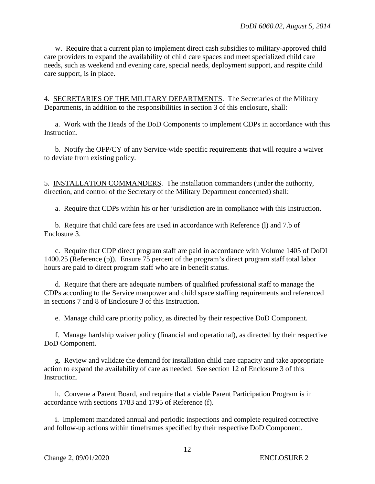w. Require that a current plan to implement direct cash subsidies to military-approved child care providers to expand the availability of child care spaces and meet specialized child care needs, such as weekend and evening care, special needs, deployment support, and respite child care support, is in place.

4. SECRETARIES OF THE MILITARY DEPARTMENTS. The Secretaries of the Military Departments, in addition to the responsibilities in section 3 of this enclosure, shall:

a. Work with the Heads of the DoD Components to implement CDPs in accordance with this Instruction.

 b. Notify the OFP/CY of any Service-wide specific requirements that will require a waiver to deviate from existing policy.

5. INSTALLATION COMMANDERS. The installation commanders (under the authority, direction, and control of the Secretary of the Military Department concerned) shall:

a. Require that CDPs within his or her jurisdiction are in compliance with this Instruction.

 b. Require that child care fees are used in accordance with Reference (l) and 7.b of Enclosure 3.

c. Require that CDP direct program staff are paid in accordance with Volume 1405 of DoDI 1400.25 (Reference (p)). Ensure 75 percent of the program's direct program staff total labor hours are paid to direct program staff who are in benefit status.

 d. Require that there are adequate numbers of qualified professional staff to manage the CDPs according to the Service manpower and child space staffing requirements and referenced in sections 7 and 8 of Enclosure 3 of this Instruction.

e. Manage child care priority policy, as directed by their respective DoD Component.

f. Manage hardship waiver policy (financial and operational), as directed by their respective DoD Component.

g. Review and validate the demand for installation child care capacity and take appropriate action to expand the availability of care as needed. See section 12 of Enclosure 3 of this Instruction.

 h. Convene a Parent Board, and require that a viable Parent Participation Program is in accordance with sections 1783 and 1795 of Reference (f).

i. Implement mandated annual and periodic inspections and complete required corrective and follow-up actions within timeframes specified by their respective DoD Component.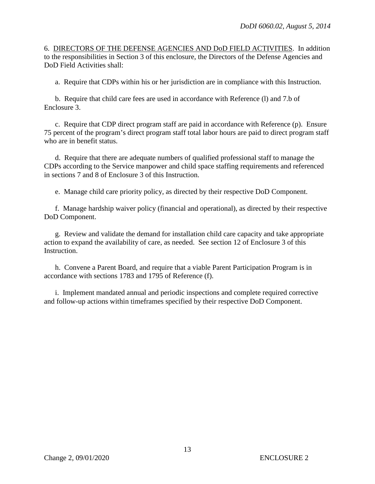6. DIRECTORS OF THE DEFENSE AGENCIES AND DoD FIELD ACTIVITIES. In addition to the responsibilities in Section 3 of this enclosure, the Directors of the Defense Agencies and DoD Field Activities shall:

a. Require that CDPs within his or her jurisdiction are in compliance with this Instruction.

 b. Require that child care fees are used in accordance with Reference (l) and 7.b of Enclosure 3.

c. Require that CDP direct program staff are paid in accordance with Reference (p). Ensure 75 percent of the program's direct program staff total labor hours are paid to direct program staff who are in benefit status.

 d. Require that there are adequate numbers of qualified professional staff to manage the CDPs according to the Service manpower and child space staffing requirements and referenced in sections 7 and 8 of Enclosure 3 of this Instruction.

e. Manage child care priority policy, as directed by their respective DoD Component.

f. Manage hardship waiver policy (financial and operational), as directed by their respective DoD Component.

g. Review and validate the demand for installation child care capacity and take appropriate action to expand the availability of care, as needed. See section 12 of Enclosure 3 of this **Instruction** 

 h. Convene a Parent Board, and require that a viable Parent Participation Program is in accordance with sections 1783 and 1795 of Reference (f).

 i. Implement mandated annual and periodic inspections and complete required corrective and follow-up actions within timeframes specified by their respective DoD Component.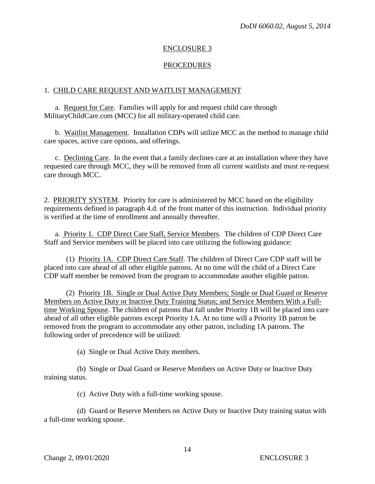#### ENCLOSURE 3

#### PROCEDURES

#### 1. CHILD CARE REQUEST AND WAITLIST MANAGEMENT

a. Request for Care. Families will apply for and request child care through MilitaryChildCare.com (MCC) for all military-operated child care.

 b. Waitlist Management. Installation CDPs will utilize MCC as the method to manage child care spaces, active care options, and offerings.

c. Declining Care. In the event that a family declines care at an installation where they have requested care through MCC, they will be removed from all current waitlists and must re-request care through MCC.

2. PRIORITY SYSTEM. Priority for care is administered by MCC based on the eligibility requirements defined in paragraph 4.d. of the front matter of this instruction. Individual priority is verified at the time of enrollment and annually thereafter.

a. Priority 1. CDP Direct Care Staff, Service Members. The children of CDP Direct Care Staff and Service members will be placed into care utilizing the following guidance:

 (1) Priority 1A. CDP Direct Care Staff. The children of Direct Care CDP staff will be placed into care ahead of all other eligible patrons. At no time will the child of a Direct Care CDP staff member be removed from the program to accommodate another eligible patron.

 (2) Priority 1B. Single or Dual Active Duty Members; Single or Dual Guard or Reserve Members on Active Duty or Inactive Duty Training Status; and Service Members With a Fulltime Working Spouse. The children of patrons that fall under Priority 1B will be placed into care ahead of all other eligible patrons except Priority 1A. At no time will a Priority 1B patron be removed from the program to accommodate any other patron, including 1A patrons. The following order of precedence will be utilized:

(a) Single or Dual Active Duty members.

 (b) Single or Dual Guard or Reserve Members on Active Duty or Inactive Duty training status.

(c) Active Duty with a full-time working spouse.

 (d) Guard or Reserve Members on Active Duty or Inactive Duty training status with a full-time working spouse.

14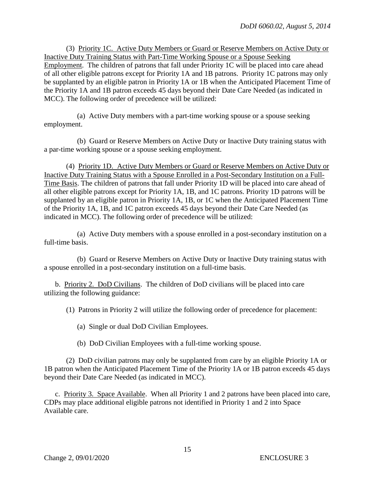(3) Priority 1C. Active Duty Members or Guard or Reserve Members on Active Duty or Inactive Duty Training Status with Part-Time Working Spouse or a Spouse Seeking Employment. The children of patrons that fall under Priority 1C will be placed into care ahead of all other eligible patrons except for Priority 1A and 1B patrons. Priority 1C patrons may only be supplanted by an eligible patron in Priority 1A or 1B when the Anticipated Placement Time of the Priority 1A and 1B patron exceeds 45 days beyond their Date Care Needed (as indicated in MCC). The following order of precedence will be utilized:

 (a) Active Duty members with a part-time working spouse or a spouse seeking employment.

 (b) Guard or Reserve Members on Active Duty or Inactive Duty training status with a par-time working spouse or a spouse seeking employment.

 (4) Priority 1D. Active Duty Members or Guard or Reserve Members on Active Duty or Inactive Duty Training Status with a Spouse Enrolled in a Post-Secondary Institution on a Full-Time Basis. The children of patrons that fall under Priority 1D will be placed into care ahead of all other eligible patrons except for Priority 1A, 1B, and 1C patrons. Priority 1D patrons will be supplanted by an eligible patron in Priority 1A, 1B, or 1C when the Anticipated Placement Time of the Priority 1A, 1B, and 1C patron exceeds 45 days beyond their Date Care Needed (as indicated in MCC). The following order of precedence will be utilized:

 (a) Active Duty members with a spouse enrolled in a post-secondary institution on a full-time basis.

 (b) Guard or Reserve Members on Active Duty or Inactive Duty training status with a spouse enrolled in a post-secondary institution on a full-time basis.

 b. Priority 2. DoD Civilians. The children of DoD civilians will be placed into care utilizing the following guidance:

(1) Patrons in Priority 2 will utilize the following order of precedence for placement:

(a) Single or dual DoD Civilian Employees.

(b) DoD Civilian Employees with a full-time working spouse.

 (2) DoD civilian patrons may only be supplanted from care by an eligible Priority 1A or 1B patron when the Anticipated Placement Time of the Priority 1A or 1B patron exceeds 45 days beyond their Date Care Needed (as indicated in MCC).

c. Priority 3. Space Available. When all Priority 1 and 2 patrons have been placed into care, CDPs may place additional eligible patrons not identified in Priority 1 and 2 into Space Available care.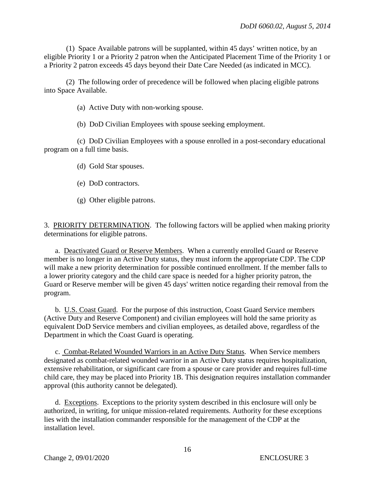(1) Space Available patrons will be supplanted, within 45 days' written notice, by an eligible Priority 1 or a Priority 2 patron when the Anticipated Placement Time of the Priority 1 or a Priority 2 patron exceeds 45 days beyond their Date Care Needed (as indicated in MCC).

 (2) The following order of precedence will be followed when placing eligible patrons into Space Available.

(a) Active Duty with non-working spouse.

(b) DoD Civilian Employees with spouse seeking employment.

 (c) DoD Civilian Employees with a spouse enrolled in a post-secondary educational program on a full time basis.

- (d) Gold Star spouses.
- (e) DoD contractors.
- (g) Other eligible patrons.

3. PRIORITY DETERMINATION. The following factors will be applied when making priority determinations for eligible patrons.

a. Deactivated Guard or Reserve Members. When a currently enrolled Guard or Reserve member is no longer in an Active Duty status, they must inform the appropriate CDP. The CDP will make a new priority determination for possible continued enrollment. If the member falls to a lower priority category and the child care space is needed for a higher priority patron, the Guard or Reserve member will be given 45 days' written notice regarding their removal from the program.

 b. U.S. Coast Guard. For the purpose of this instruction, Coast Guard Service members (Active Duty and Reserve Component) and civilian employees will hold the same priority as equivalent DoD Service members and civilian employees, as detailed above, regardless of the Department in which the Coast Guard is operating.

c. Combat-Related Wounded Warriors in an Active Duty Status. When Service members designated as combat-related wounded warrior in an Active Duty status requires hospitalization, extensive rehabilitation, or significant care from a spouse or care provider and requires full-time child care, they may be placed into Priority 1B. This designation requires installation commander approval (this authority cannot be delegated).

 d. Exceptions. Exceptions to the priority system described in this enclosure will only be authorized, in writing, for unique mission-related requirements. Authority for these exceptions lies with the installation commander responsible for the management of the CDP at the installation level.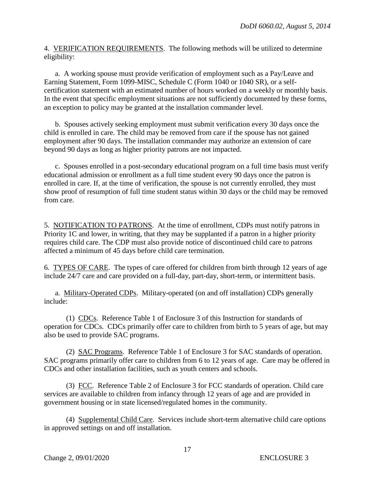4. VERIFICATION REQUIREMENTS. The following methods will be utilized to determine eligibility:

 a. A working spouse must provide verification of employment such as a Pay/Leave and Earning Statement, Form 1099-MISC, Schedule C (Form 1040 or 1040 SR), or a selfcertification statement with an estimated number of hours worked on a weekly or monthly basis. In the event that specific employment situations are not sufficiently documented by these forms, an exception to policy may be granted at the installation commander level.

 b. Spouses actively seeking employment must submit verification every 30 days once the child is enrolled in care. The child may be removed from care if the spouse has not gained employment after 90 days. The installation commander may authorize an extension of care beyond 90 days as long as higher priority patrons are not impacted.

 c. Spouses enrolled in a post-secondary educational program on a full time basis must verify educational admission or enrollment as a full time student every 90 days once the patron is enrolled in care. If, at the time of verification, the spouse is not currently enrolled, they must show proof of resumption of full time student status within 30 days or the child may be removed from care.

5. NOTIFICATION TO PATRONS. At the time of enrollment, CDPs must notify patrons in Priority 1C and lower, in writing, that they may be supplanted if a patron in a higher priority requires child care. The CDP must also provide notice of discontinued child care to patrons affected a minimum of 45 days before child care termination.

6. TYPES OF CARE. The types of care offered for children from birth through 12 years of age include 24/7 care and care provided on a full-day, part-day, short-term, or intermittent basis.

a. Military-Operated CDPs. Military-operated (on and off installation) CDPs generally include:

 (1) CDCs. Reference Table 1 of Enclosure 3 of this Instruction for standards of operation for CDCs. CDCs primarily offer care to children from birth to 5 years of age, but may also be used to provide SAC programs.

 (2) SAC Programs. Reference Table 1 of Enclosure 3 for SAC standards of operation. SAC programs primarily offer care to children from 6 to 12 years of age. Care may be offered in CDCs and other installation facilities, such as youth centers and schools.

 (3) FCC. Reference Table 2 of Enclosure 3 for FCC standards of operation. Child care services are available to children from infancy through 12 years of age and are provided in government housing or in state licensed/regulated homes in the community.

 (4) Supplemental Child Care. Services include short-term alternative child care options in approved settings on and off installation.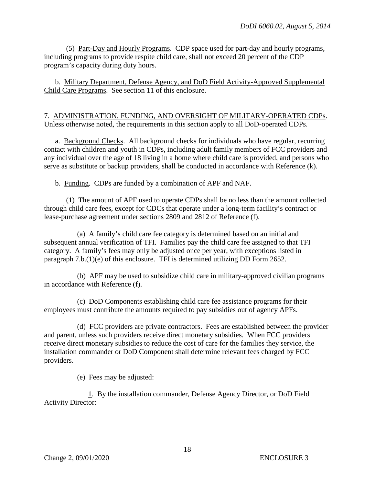(5) Part-Day and Hourly Programs. CDP space used for part-day and hourly programs, including programs to provide respite child care, shall not exceed 20 percent of the CDP program's capacity during duty hours.

 b. Military Department, Defense Agency, and DoD Field Activity-Approved Supplemental Child Care Programs. See section 11 of this enclosure.

7. ADMINISTRATION, FUNDING, AND OVERSIGHT OF MILITARY-OPERATED CDPs. Unless otherwise noted, the requirements in this section apply to all DoD-operated CDPs.

a. Background Checks. All background checks for individuals who have regular, recurring contact with children and youth in CDPs, including adult family members of FCC providers and any individual over the age of 18 living in a home where child care is provided, and persons who serve as substitute or backup providers, shall be conducted in accordance with Reference (k).

b. Funding. CDPs are funded by a combination of APF and NAF.

 (1) The amount of APF used to operate CDPs shall be no less than the amount collected through child care fees, except for CDCs that operate under a long-term facility's contract or lease-purchase agreement under sections 2809 and 2812 of Reference (f).

 (a) A family's child care fee category is determined based on an initial and subsequent annual verification of TFI. Families pay the child care fee assigned to that TFI category. A family's fees may only be adjusted once per year, with exceptions listed in paragraph 7.b.(1)(e) of this enclosure. TFI is determined utilizing DD Form 2652.

 (b) APF may be used to subsidize child care in military-approved civilian programs in accordance with Reference (f).

 (c) DoD Components establishing child care fee assistance programs for their employees must contribute the amounts required to pay subsidies out of agency APFs.

 (d) FCC providers are private contractors. Fees are established between the provider and parent, unless such providers receive direct monetary subsidies. When FCC providers receive direct monetary subsidies to reduce the cost of care for the families they service, the installation commander or DoD Component shall determine relevant fees charged by FCC providers.

(e) Fees may be adjusted:

 1. By the installation commander, Defense Agency Director, or DoD Field Activity Director: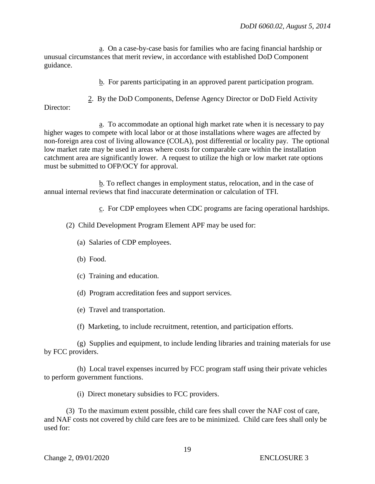a. On a case-by-case basis for families who are facing financial hardship or unusual circumstances that merit review, in accordance with established DoD Component guidance.

b. For parents participating in an approved parent participation program.

2. By the DoD Components, Defense Agency Director or DoD Field Activity

Director:

 a. To accommodate an optional high market rate when it is necessary to pay higher wages to compete with local labor or at those installations where wages are affected by non-foreign area cost of living allowance (COLA), post differential or locality pay. The optional low market rate may be used in areas where costs for comparable care within the installation catchment area are significantly lower. A request to utilize the high or low market rate options must be submitted to OFP/OCY for approval.

 b. To reflect changes in employment status, relocation, and in the case of annual internal reviews that find inaccurate determination or calculation of TFI.

c. For CDP employees when CDC programs are facing operational hardships.

(2) Child Development Program Element APF may be used for:

- (a) Salaries of CDP employees.
- (b) Food.
- (c) Training and education.
- (d) Program accreditation fees and support services.
- (e) Travel and transportation.
- (f) Marketing, to include recruitment, retention, and participation efforts.

 (g) Supplies and equipment, to include lending libraries and training materials for use by FCC providers.

 (h) Local travel expenses incurred by FCC program staff using their private vehicles to perform government functions.

(i) Direct monetary subsidies to FCC providers.

 (3) To the maximum extent possible, child care fees shall cover the NAF cost of care, and NAF costs not covered by child care fees are to be minimized. Child care fees shall only be used for: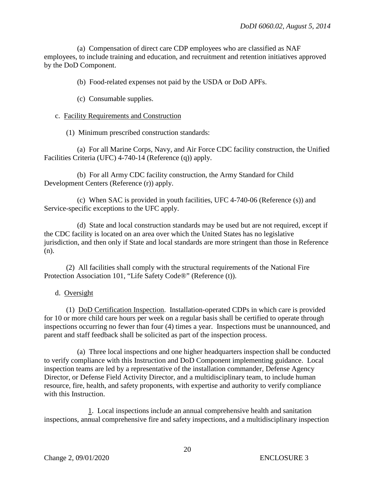(a) Compensation of direct care CDP employees who are classified as NAF employees, to include training and education, and recruitment and retention initiatives approved by the DoD Component.

(b) Food-related expenses not paid by the USDA or DoD APFs.

- (c) Consumable supplies.
- c. Facility Requirements and Construction
	- (1) Minimum prescribed construction standards:

 (a) For all Marine Corps, Navy, and Air Force CDC facility construction, the Unified Facilities Criteria (UFC) 4-740-14 (Reference (q)) apply.

 (b) For all Army CDC facility construction, the Army Standard for Child Development Centers (Reference (r)) apply.

 (c) When SAC is provided in youth facilities, UFC 4-740-06 (Reference (s)) and Service-specific exceptions to the UFC apply.

 (d) State and local construction standards may be used but are not required, except if the CDC facility is located on an area over which the United States has no legislative jurisdiction, and then only if State and local standards are more stringent than those in Reference (n).

 (2) All facilities shall comply with the structural requirements of the National Fire Protection Association 101, "Life Safety Code®" (Reference (t)).

d. Oversight

 (1) DoD Certification Inspection. Installation-operated CDPs in which care is provided for 10 or more child care hours per week on a regular basis shall be certified to operate through inspections occurring no fewer than four (4) times a year. Inspections must be unannounced, and parent and staff feedback shall be solicited as part of the inspection process.

 (a) Three local inspections and one higher headquarters inspection shall be conducted to verify compliance with this Instruction and DoD Component implementing guidance. Local inspection teams are led by a representative of the installation commander, Defense Agency Director, or Defense Field Activity Director, and a multidisciplinary team, to include human resource, fire, health, and safety proponents, with expertise and authority to verify compliance with this Instruction.

 1. Local inspections include an annual comprehensive health and sanitation inspections, annual comprehensive fire and safety inspections, and a multidisciplinary inspection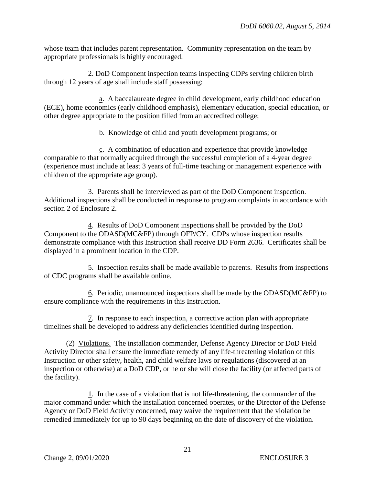whose team that includes parent representation. Community representation on the team by appropriate professionals is highly encouraged.

 2. DoD Component inspection teams inspecting CDPs serving children birth through 12 years of age shall include staff possessing:

 a. A baccalaureate degree in child development, early childhood education (ECE), home economics (early childhood emphasis), elementary education, special education, or other degree appropriate to the position filled from an accredited college;

b. Knowledge of child and youth development programs; or

 c. A combination of education and experience that provide knowledge comparable to that normally acquired through the successful completion of a 4-year degree (experience must include at least 3 years of full-time teaching or management experience with children of the appropriate age group).

 3. Parents shall be interviewed as part of the DoD Component inspection. Additional inspections shall be conducted in response to program complaints in accordance with section 2 of Enclosure 2.

 4. Results of DoD Component inspections shall be provided by the DoD Component to the ODASD(MC&FP) through OFP/CY. CDPs whose inspection results demonstrate compliance with this Instruction shall receive DD Form 2636. Certificates shall be displayed in a prominent location in the CDP.

 5. Inspection results shall be made available to parents. Results from inspections of CDC programs shall be available online.

 6. Periodic, unannounced inspections shall be made by the ODASD(MC&FP) to ensure compliance with the requirements in this Instruction.

 7. In response to each inspection, a corrective action plan with appropriate timelines shall be developed to address any deficiencies identified during inspection.

 (2) Violations. The installation commander, Defense Agency Director or DoD Field Activity Director shall ensure the immediate remedy of any life-threatening violation of this Instruction or other safety, health, and child welfare laws or regulations (discovered at an inspection or otherwise) at a DoD CDP, or he or she will close the facility (or affected parts of the facility).

 1. In the case of a violation that is not life-threatening, the commander of the major command under which the installation concerned operates, or the Director of the Defense Agency or DoD Field Activity concerned, may waive the requirement that the violation be remedied immediately for up to 90 days beginning on the date of discovery of the violation.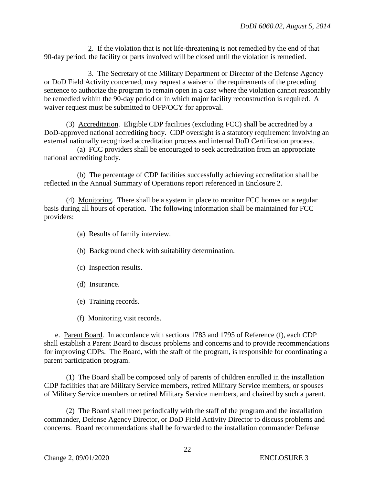2. If the violation that is not life-threatening is not remedied by the end of that 90-day period, the facility or parts involved will be closed until the violation is remedied.

 3. The Secretary of the Military Department or Director of the Defense Agency or DoD Field Activity concerned, may request a waiver of the requirements of the preceding sentence to authorize the program to remain open in a case where the violation cannot reasonably be remedied within the 90-day period or in which major facility reconstruction is required. A waiver request must be submitted to OFP/OCY for approval.

 (3) Accreditation. Eligible CDP facilities (excluding FCC) shall be accredited by a DoD-approved national accrediting body. CDP oversight is a statutory requirement involving an external nationally recognized accreditation process and internal DoD Certification process.

 (a) FCC providers shall be encouraged to seek accreditation from an appropriate national accrediting body.

 (b) The percentage of CDP facilities successfully achieving accreditation shall be reflected in the Annual Summary of Operations report referenced in Enclosure 2.

 (4) Monitoring. There shall be a system in place to monitor FCC homes on a regular basis during all hours of operation. The following information shall be maintained for FCC providers:

- (a) Results of family interview.
- (b) Background check with suitability determination.
- (c) Inspection results.
- (d) Insurance.
- (e) Training records.
- (f) Monitoring visit records.

e. Parent Board. In accordance with sections 1783 and 1795 of Reference (f), each CDP shall establish a Parent Board to discuss problems and concerns and to provide recommendations for improving CDPs. The Board, with the staff of the program, is responsible for coordinating a parent participation program.

 (1) The Board shall be composed only of parents of children enrolled in the installation CDP facilities that are Military Service members, retired Military Service members, or spouses of Military Service members or retired Military Service members, and chaired by such a parent.

 (2) The Board shall meet periodically with the staff of the program and the installation commander, Defense Agency Director, or DoD Field Activity Director to discuss problems and concerns. Board recommendations shall be forwarded to the installation commander Defense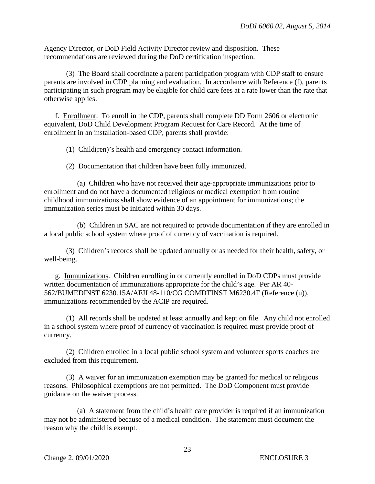Agency Director, or DoD Field Activity Director review and disposition. These recommendations are reviewed during the DoD certification inspection.

 (3) The Board shall coordinate a parent participation program with CDP staff to ensure parents are involved in CDP planning and evaluation. In accordance with Reference (f), parents participating in such program may be eligible for child care fees at a rate lower than the rate that otherwise applies.

f. Enrollment. To enroll in the CDP, parents shall complete DD Form 2606 or electronic equivalent, DoD Child Development Program Request for Care Record. At the time of enrollment in an installation-based CDP, parents shall provide:

(1) Child(ren)'s health and emergency contact information.

(2) Documentation that children have been fully immunized.

 (a) Children who have not received their age-appropriate immunizations prior to enrollment and do not have a documented religious or medical exemption from routine childhood immunizations shall show evidence of an appointment for immunizations; the immunization series must be initiated within 30 days.

 (b) Children in SAC are not required to provide documentation if they are enrolled in a local public school system where proof of currency of vaccination is required.

 (3) Children's records shall be updated annually or as needed for their health, safety, or well-being.

g. Immunizations. Children enrolling in or currently enrolled in DoD CDPs must provide written documentation of immunizations appropriate for the child's age. Per AR 40- 562/BUMEDINST 6230.15A/AFJI 48-110/CG COMDTINST M6230.4F (Reference (u)), immunizations recommended by the ACIP are required.

 (1) All records shall be updated at least annually and kept on file. Any child not enrolled in a school system where proof of currency of vaccination is required must provide proof of currency.

 (2) Children enrolled in a local public school system and volunteer sports coaches are excluded from this requirement.

 (3) A waiver for an immunization exemption may be granted for medical or religious reasons. Philosophical exemptions are not permitted. The DoD Component must provide guidance on the waiver process.

 (a) A statement from the child's health care provider is required if an immunization may not be administered because of a medical condition. The statement must document the reason why the child is exempt.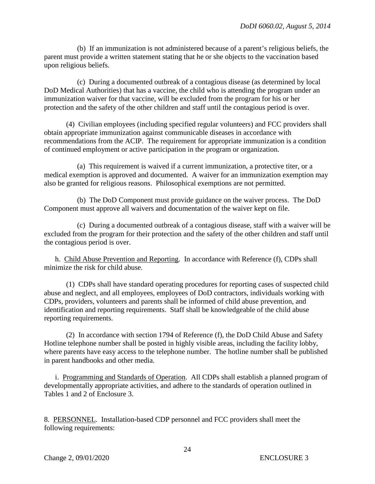(b) If an immunization is not administered because of a parent's religious beliefs, the parent must provide a written statement stating that he or she objects to the vaccination based upon religious beliefs.

 (c) During a documented outbreak of a contagious disease (as determined by local DoD Medical Authorities) that has a vaccine, the child who is attending the program under an immunization waiver for that vaccine, will be excluded from the program for his or her protection and the safety of the other children and staff until the contagious period is over.

 (4) Civilian employees (including specified regular volunteers) and FCC providers shall obtain appropriate immunization against communicable diseases in accordance with recommendations from the ACIP. The requirement for appropriate immunization is a condition of continued employment or active participation in the program or organization.

 (a) This requirement is waived if a current immunization, a protective titer, or a medical exemption is approved and documented. A waiver for an immunization exemption may also be granted for religious reasons. Philosophical exemptions are not permitted.

 (b) The DoD Component must provide guidance on the waiver process. The DoD Component must approve all waivers and documentation of the waiver kept on file.

 (c) During a documented outbreak of a contagious disease, staff with a waiver will be excluded from the program for their protection and the safety of the other children and staff until the contagious period is over.

 h. Child Abuse Prevention and Reporting. In accordance with Reference (f), CDPs shall minimize the risk for child abuse.

 (1) CDPs shall have standard operating procedures for reporting cases of suspected child abuse and neglect, and all employees, employees of DoD contractors, individuals working with CDPs, providers, volunteers and parents shall be informed of child abuse prevention, and identification and reporting requirements. Staff shall be knowledgeable of the child abuse reporting requirements.

 (2) In accordance with section 1794 of Reference (f), the DoD Child Abuse and Safety Hotline telephone number shall be posted in highly visible areas, including the facility lobby, where parents have easy access to the telephone number. The hotline number shall be published in parent handbooks and other media.

i. Programming and Standards of Operation. All CDPs shall establish a planned program of developmentally appropriate activities, and adhere to the standards of operation outlined in Tables 1 and 2 of Enclosure 3.

8. PERSONNEL. Installation-based CDP personnel and FCC providers shall meet the following requirements: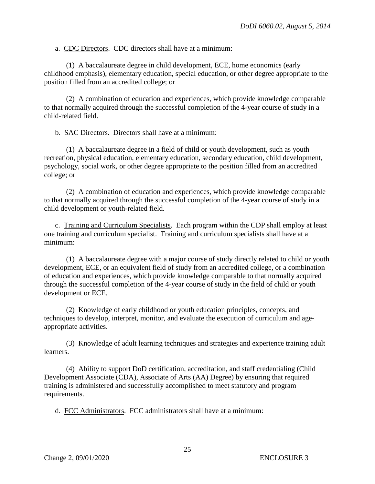a. CDC Directors. CDC directors shall have at a minimum:

 (1) A baccalaureate degree in child development, ECE, home economics (early childhood emphasis), elementary education, special education, or other degree appropriate to the position filled from an accredited college; or

 (2) A combination of education and experiences, which provide knowledge comparable to that normally acquired through the successful completion of the 4-year course of study in a child-related field.

b. SAC Directors. Directors shall have at a minimum:

 (1) A baccalaureate degree in a field of child or youth development, such as youth recreation, physical education, elementary education, secondary education, child development, psychology, social work, or other degree appropriate to the position filled from an accredited college; or

 (2) A combination of education and experiences, which provide knowledge comparable to that normally acquired through the successful completion of the 4-year course of study in a child development or youth-related field.

c. Training and Curriculum Specialists. Each program within the CDP shall employ at least one training and curriculum specialist. Training and curriculum specialists shall have at a minimum:

 (1) A baccalaureate degree with a major course of study directly related to child or youth development, ECE, or an equivalent field of study from an accredited college, or a combination of education and experiences, which provide knowledge comparable to that normally acquired through the successful completion of the 4-year course of study in the field of child or youth development or ECE.

 (2) Knowledge of early childhood or youth education principles, concepts, and techniques to develop, interpret, monitor, and evaluate the execution of curriculum and ageappropriate activities.

 (3) Knowledge of adult learning techniques and strategies and experience training adult learners.

 (4) Ability to support DoD certification, accreditation, and staff credentialing (Child Development Associate (CDA), Associate of Arts (AA) Degree) by ensuring that required training is administered and successfully accomplished to meet statutory and program requirements.

d. FCC Administrators. FCC administrators shall have at a minimum: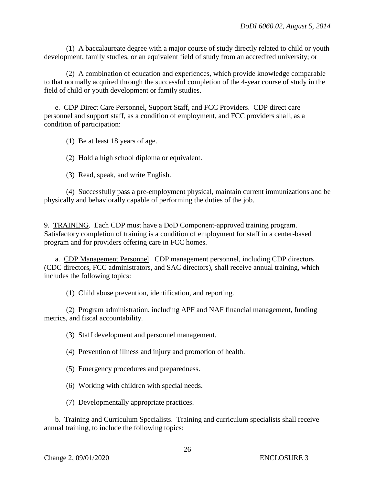(1) A baccalaureate degree with a major course of study directly related to child or youth development, family studies, or an equivalent field of study from an accredited university; or

 (2) A combination of education and experiences, which provide knowledge comparable to that normally acquired through the successful completion of the 4-year course of study in the field of child or youth development or family studies.

e. CDP Direct Care Personnel, Support Staff, and FCC Providers. CDP direct care personnel and support staff, as a condition of employment, and FCC providers shall, as a condition of participation:

(1) Be at least 18 years of age.

(2) Hold a high school diploma or equivalent.

(3) Read, speak, and write English.

 (4) Successfully pass a pre-employment physical, maintain current immunizations and be physically and behaviorally capable of performing the duties of the job.

9. TRAINING. Each CDP must have a DoD Component-approved training program. Satisfactory completion of training is a condition of employment for staff in a center-based program and for providers offering care in FCC homes.

a. CDP Management Personnel. CDP management personnel, including CDP directors (CDC directors, FCC administrators, and SAC directors), shall receive annual training, which includes the following topics:

(1) Child abuse prevention, identification, and reporting.

 (2) Program administration, including APF and NAF financial management, funding metrics, and fiscal accountability.

(3) Staff development and personnel management.

(4) Prevention of illness and injury and promotion of health.

- (5) Emergency procedures and preparedness.
- (6) Working with children with special needs.
- (7) Developmentally appropriate practices.

 b. Training and Curriculum Specialists. Training and curriculum specialists shall receive annual training, to include the following topics: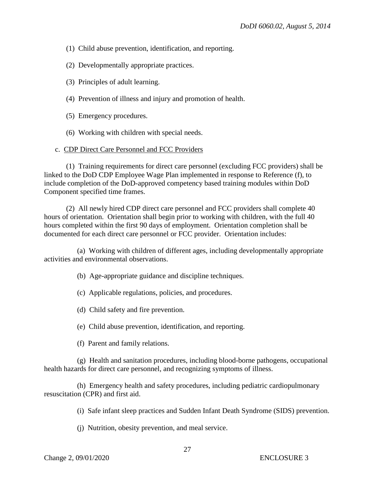- (1) Child abuse prevention, identification, and reporting.
- (2) Developmentally appropriate practices.
- (3) Principles of adult learning.
- (4) Prevention of illness and injury and promotion of health.
- (5) Emergency procedures.
- (6) Working with children with special needs.

#### c. CDP Direct Care Personnel and FCC Providers

 (1) Training requirements for direct care personnel (excluding FCC providers) shall be linked to the DoD CDP Employee Wage Plan implemented in response to Reference (f), to include completion of the DoD-approved competency based training modules within DoD Component specified time frames.

 (2) All newly hired CDP direct care personnel and FCC providers shall complete 40 hours of orientation. Orientation shall begin prior to working with children, with the full 40 hours completed within the first 90 days of employment. Orientation completion shall be documented for each direct care personnel or FCC provider. Orientation includes:

 (a) Working with children of different ages, including developmentally appropriate activities and environmental observations.

- (b) Age-appropriate guidance and discipline techniques.
- (c) Applicable regulations, policies, and procedures.
- (d) Child safety and fire prevention.
- (e) Child abuse prevention, identification, and reporting.
- (f) Parent and family relations.

 (g) Health and sanitation procedures, including blood-borne pathogens, occupational health hazards for direct care personnel, and recognizing symptoms of illness.

 (h) Emergency health and safety procedures, including pediatric cardiopulmonary resuscitation (CPR) and first aid.

(i) Safe infant sleep practices and Sudden Infant Death Syndrome (SIDS) prevention.

(j) Nutrition, obesity prevention, and meal service.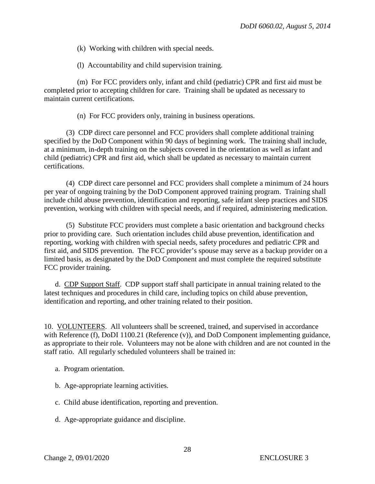- (k) Working with children with special needs.
- (l) Accountability and child supervision training.

 (m) For FCC providers only, infant and child (pediatric) CPR and first aid must be completed prior to accepting children for care. Training shall be updated as necessary to maintain current certifications.

(n) For FCC providers only, training in business operations.

 (3) CDP direct care personnel and FCC providers shall complete additional training specified by the DoD Component within 90 days of beginning work. The training shall include, at a minimum, in-depth training on the subjects covered in the orientation as well as infant and child (pediatric) CPR and first aid, which shall be updated as necessary to maintain current certifications.

 (4) CDP direct care personnel and FCC providers shall complete a minimum of 24 hours per year of ongoing training by the DoD Component approved training program. Training shall include child abuse prevention, identification and reporting, safe infant sleep practices and SIDS prevention, working with children with special needs, and if required, administering medication.

 (5) Substitute FCC providers must complete a basic orientation and background checks prior to providing care. Such orientation includes child abuse prevention, identification and reporting, working with children with special needs, safety procedures and pediatric CPR and first aid, and SIDS prevention. The FCC provider's spouse may serve as a backup provider on a limited basis, as designated by the DoD Component and must complete the required substitute FCC provider training.

 d. CDP Support Staff. CDP support staff shall participate in annual training related to the latest techniques and procedures in child care, including topics on child abuse prevention, identification and reporting, and other training related to their position.

10. VOLUNTEERS. All volunteers shall be screened, trained, and supervised in accordance with Reference (f), DoDI 1100.21 (Reference (v)), and DoD Component implementing guidance, as appropriate to their role. Volunteers may not be alone with children and are not counted in the staff ratio. All regularly scheduled volunteers shall be trained in:

- a. Program orientation.
- b. Age-appropriate learning activities.
- c. Child abuse identification, reporting and prevention.
- d. Age-appropriate guidance and discipline.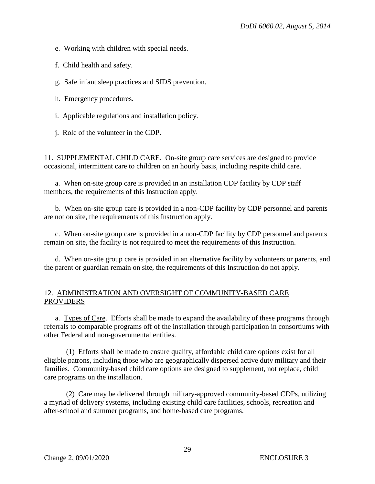e. Working with children with special needs.

f. Child health and safety.

g. Safe infant sleep practices and SIDS prevention.

h. Emergency procedures.

i. Applicable regulations and installation policy.

j. Role of the volunteer in the CDP.

11. SUPPLEMENTAL CHILD CARE. On-site group care services are designed to provide occasional, intermittent care to children on an hourly basis, including respite child care.

a. When on-site group care is provided in an installation CDP facility by CDP staff members, the requirements of this Instruction apply.

 b. When on-site group care is provided in a non-CDP facility by CDP personnel and parents are not on site, the requirements of this Instruction apply.

 c. When on-site group care is provided in a non-CDP facility by CDP personnel and parents remain on site, the facility is not required to meet the requirements of this Instruction.

 d. When on-site group care is provided in an alternative facility by volunteers or parents, and the parent or guardian remain on site, the requirements of this Instruction do not apply.

#### 12. ADMINISTRATION AND OVERSIGHT OF COMMUNITY-BASED CARE **PROVIDERS**

 a. Types of Care. Efforts shall be made to expand the availability of these programs through referrals to comparable programs off of the installation through participation in consortiums with other Federal and non-governmental entities.

 (1) Efforts shall be made to ensure quality, affordable child care options exist for all eligible patrons, including those who are geographically dispersed active duty military and their families. Community-based child care options are designed to supplement, not replace, child care programs on the installation.

 (2) Care may be delivered through military-approved community-based CDPs, utilizing a myriad of delivery systems, including existing child care facilities, schools, recreation and after-school and summer programs, and home-based care programs.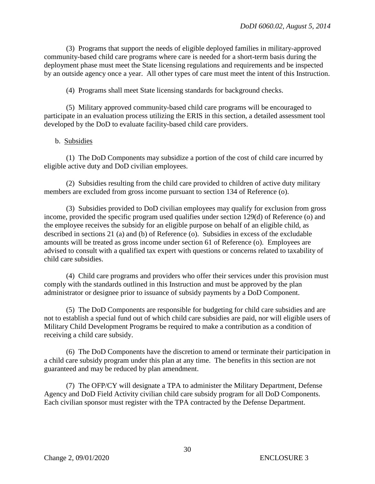(3) Programs that support the needs of eligible deployed families in military-approved community-based child care programs where care is needed for a short-term basis during the deployment phase must meet the State licensing regulations and requirements and be inspected by an outside agency once a year. All other types of care must meet the intent of this Instruction.

(4) Programs shall meet State licensing standards for background checks.

 (5) Military approved community-based child care programs will be encouraged to participate in an evaluation process utilizing the ERIS in this section, a detailed assessment tool developed by the DoD to evaluate facility-based child care providers.

#### b. Subsidies

 (1) The DoD Components may subsidize a portion of the cost of child care incurred by eligible active duty and DoD civilian employees.

 (2) Subsidies resulting from the child care provided to children of active duty military members are excluded from gross income pursuant to section 134 of Reference (o).

 (3) Subsidies provided to DoD civilian employees may qualify for exclusion from gross income, provided the specific program used qualifies under section 129(d) of Reference (o) and the employee receives the subsidy for an eligible purpose on behalf of an eligible child, as described in sections 21 (a) and (b) of Reference (o). Subsidies in excess of the excludable amounts will be treated as gross income under section 61 of Reference (o). Employees are advised to consult with a qualified tax expert with questions or concerns related to taxability of child care subsidies.

 (4) Child care programs and providers who offer their services under this provision must comply with the standards outlined in this Instruction and must be approved by the plan administrator or designee prior to issuance of subsidy payments by a DoD Component.

 (5) The DoD Components are responsible for budgeting for child care subsidies and are not to establish a special fund out of which child care subsidies are paid, nor will eligible users of Military Child Development Programs be required to make a contribution as a condition of receiving a child care subsidy.

 (6) The DoD Components have the discretion to amend or terminate their participation in a child care subsidy program under this plan at any time. The benefits in this section are not guaranteed and may be reduced by plan amendment.

 (7) The OFP/CY will designate a TPA to administer the Military Department, Defense Agency and DoD Field Activity civilian child care subsidy program for all DoD Components. Each civilian sponsor must register with the TPA contracted by the Defense Department.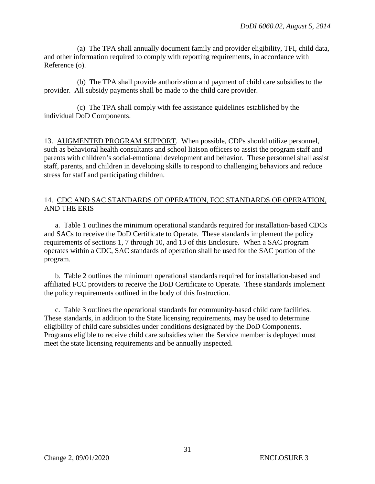(a) The TPA shall annually document family and provider eligibility, TFI, child data, and other information required to comply with reporting requirements, in accordance with Reference (o).

 (b) The TPA shall provide authorization and payment of child care subsidies to the provider. All subsidy payments shall be made to the child care provider.

 (c) The TPA shall comply with fee assistance guidelines established by the individual DoD Components.

13. AUGMENTED PROGRAM SUPPORT. When possible, CDPs should utilize personnel, such as behavioral health consultants and school liaison officers to assist the program staff and parents with children's social-emotional development and behavior. These personnel shall assist staff, parents, and children in developing skills to respond to challenging behaviors and reduce stress for staff and participating children.

#### 14. CDC AND SAC STANDARDS OF OPERATION, FCC STANDARDS OF OPERATION, AND THE ERIS

a. Table 1 outlines the minimum operational standards required for installation-based CDCs and SACs to receive the DoD Certificate to Operate. These standards implement the policy requirements of sections 1, 7 through 10, and 13 of this Enclosure. When a SAC program operates within a CDC, SAC standards of operation shall be used for the SAC portion of the program.

 b. Table 2 outlines the minimum operational standards required for installation-based and affiliated FCC providers to receive the DoD Certificate to Operate. These standards implement the policy requirements outlined in the body of this Instruction.

c. Table 3 outlines the operational standards for community-based child care facilities. These standards, in addition to the State licensing requirements, may be used to determine eligibility of child care subsidies under conditions designated by the DoD Components. Programs eligible to receive child care subsidies when the Service member is deployed must meet the state licensing requirements and be annually inspected.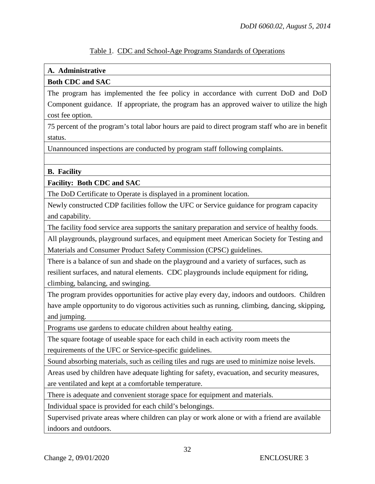# **A. Administrative**

# **Both CDC and SAC**

The program has implemented the fee policy in accordance with current DoD and DoD Component guidance. If appropriate, the program has an approved waiver to utilize the high cost fee option.

75 percent of the program's total labor hours are paid to direct program staff who are in benefit status.

Unannounced inspections are conducted by program staff following complaints.

#### **B. Facility**

#### **Facility: Both CDC and SAC**

The DoD Certificate to Operate is displayed in a prominent location.

Newly constructed CDP facilities follow the UFC or Service guidance for program capacity and capability.

The facility food service area supports the sanitary preparation and service of healthy foods.

All playgrounds, playground surfaces, and equipment meet American Society for Testing and Materials and Consumer Product Safety Commission (CPSC) guidelines.

There is a balance of sun and shade on the playground and a variety of surfaces, such as resilient surfaces, and natural elements. CDC playgrounds include equipment for riding, climbing, balancing, and swinging.

The program provides opportunities for active play every day, indoors and outdoors. Children have ample opportunity to do vigorous activities such as running, climbing, dancing, skipping, and jumping.

Programs use gardens to educate children about healthy eating.

The square footage of useable space for each child in each activity room meets the requirements of the UFC or Service-specific guidelines.

Sound absorbing materials, such as ceiling tiles and rugs are used to minimize noise levels.

Areas used by children have adequate lighting for safety, evacuation, and security measures, are ventilated and kept at a comfortable temperature.

There is adequate and convenient storage space for equipment and materials.

Individual space is provided for each child's belongings.

Supervised private areas where children can play or work alone or with a friend are available indoors and outdoors.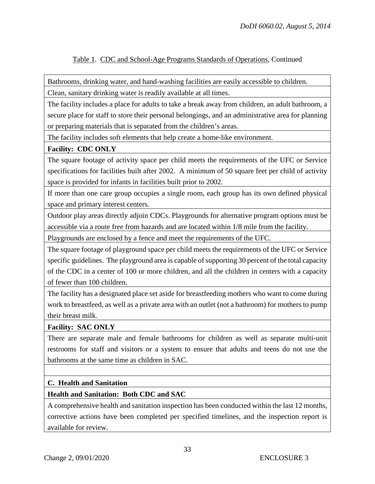Bathrooms, drinking water, and hand-washing facilities are easily accessible to children.

Clean, sanitary drinking water is readily available at all times.

The facility includes a place for adults to take a break away from children, an adult bathroom, a secure place for staff to store their personal belongings, and an administrative area for planning or preparing materials that is separated from the children's areas.

The facility includes soft elements that help create a home-like environment.

# **Facility: CDC ONLY**

The square footage of activity space per child meets the requirements of the UFC or Service specifications for facilities built after 2002. A minimum of 50 square feet per child of activity space is provided for infants in facilities built prior to 2002.

If more than one care group occupies a single room, each group has its own defined physical space and primary interest centers.

Outdoor play areas directly adjoin CDCs. Playgrounds for alternative program options must be accessible via a route free from hazards and are located within 1/8 mile from the facility.

Playgrounds are enclosed by a fence and meet the requirements of the UFC.

The square footage of playground space per child meets the requirements of the UFC or Service specific guidelines. The playground area is capable of supporting 30 percent of the total capacity of the CDC in a center of 100 or more children, and all the children in centers with a capacity of fewer than 100 children.

The facility has a designated place set aside for breastfeeding mothers who want to come during work to breastfeed, as well as a private area with an outlet (not a bathroom) for mothers to pump their breast milk.

#### **Facility: SAC ONLY**

There are separate male and female bathrooms for children as well as separate multi-unit restrooms for staff and visitors or a system to ensure that adults and teens do not use the bathrooms at the same time as children in SAC.

#### **C. Health and Sanitation**

# **Health and Sanitation: Both CDC and SAC**

A comprehensive health and sanitation inspection has been conducted within the last 12 months, corrective actions have been completed per specified timelines, and the inspection report is available for review.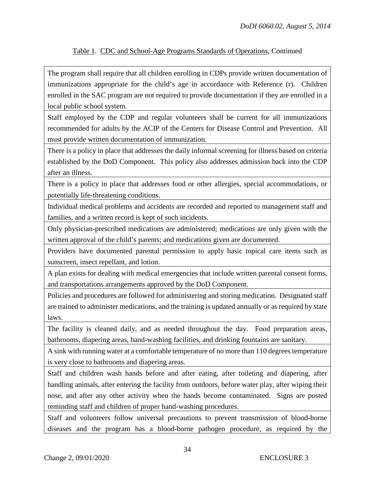The program shall require that all children enrolling in CDPs provide written documentation of immunizations appropriate for the child's age in accordance with Reference (r). Children enrolled in the SAC program are not required to provide documentation if they are enrolled in a local public school system.

Staff employed by the CDP and regular volunteers shall be current for all immunizations recommended for adults by the ACIP of the Centers for Disease Control and Prevention. All must provide written documentation of immunization.

There is a policy in place that addresses the daily informal screening for illness based on criteria established by the DoD Component. This policy also addresses admission back into the CDP after an illness.

There is a policy in place that addresses food or other allergies, special accommodations, or potentially life-threatening conditions.

Individual medical problems and accidents are recorded and reported to management staff and families, and a written record is kept of such incidents.

Only physician-prescribed medications are administered; medications are only given with the written approval of the child's parents; and medications given are documented.

Providers have documented parental permission to apply basic topical care items such as sunscreen, insect repellant, and lotion.

A plan exists for dealing with medical emergencies that include written parental consent forms, and transportations arrangements approved by the DoD Component.

Policies and procedures are followed for administering and storing medication. Designated staff are trained to administer medications, and the training is updated annually or as required by state laws.

The facility is cleaned daily, and as needed throughout the day. Food preparation areas, bathrooms, diapering areas, hand-washing facilities, and drinking fountains are sanitary.

A sink with running water at a comfortable temperature of no more than 110 degrees temperature is very close to bathrooms and diapering areas.

Staff and children wash hands before and after eating, after toileting and diapering, after handling animals, after entering the facility from outdoors, before water play, after wiping their nose, and after any other activity when the hands become contaminated. Signs are posted reminding staff and children of proper hand-washing procedures.

Staff and volunteers follow universal precautions to prevent transmission of blood-borne diseases and the program has a blood-borne pathogen procedure, as required by the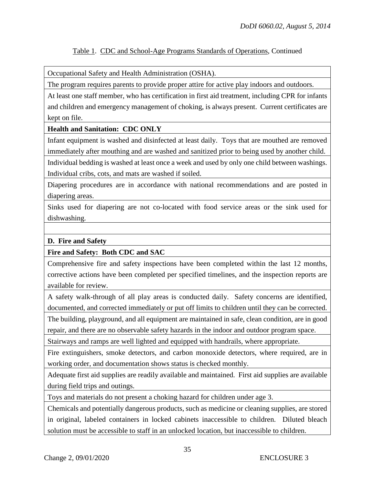Occupational Safety and Health Administration (OSHA).

The program requires parents to provide proper attire for active play indoors and outdoors.

At least one staff member, who has certification in first aid treatment, including CPR for infants and children and emergency management of choking, is always present. Current certificates are kept on file.

#### **Health and Sanitation: CDC ONLY**

Infant equipment is washed and disinfected at least daily. Toys that are mouthed are removed immediately after mouthing and are washed and sanitized prior to being used by another child. Individual bedding is washed at least once a week and used by only one child between washings. Individual cribs, cots, and mats are washed if soiled.

Diapering procedures are in accordance with national recommendations and are posted in diapering areas.

Sinks used for diapering are not co-located with food service areas or the sink used for dishwashing.

#### **D. Fire and Safety**

**Fire and Safety: Both CDC and SAC**

Comprehensive fire and safety inspections have been completed within the last 12 months, corrective actions have been completed per specified timelines, and the inspection reports are available for review.

A safety walk-through of all play areas is conducted daily. Safety concerns are identified, documented, and corrected immediately or put off limits to children until they can be corrected. The building, playground, and all equipment are maintained in safe, clean condition, are in good repair, and there are no observable safety hazards in the indoor and outdoor program space.

Stairways and ramps are well lighted and equipped with handrails, where appropriate.

Fire extinguishers, smoke detectors, and carbon monoxide detectors, where required, are in working order, and documentation shows status is checked monthly.

Adequate first aid supplies are readily available and maintained. First aid supplies are available during field trips and outings.

Toys and materials do not present a choking hazard for children under age 3.

Chemicals and potentially dangerous products, such as medicine or cleaning supplies, are stored in original, labeled containers in locked cabinets inaccessible to children. Diluted bleach solution must be accessible to staff in an unlocked location, but inaccessible to children.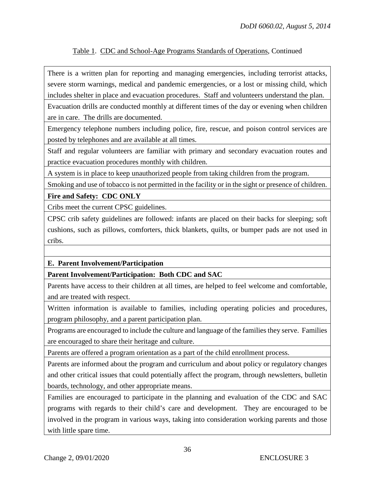There is a written plan for reporting and managing emergencies, including terrorist attacks, severe storm warnings, medical and pandemic emergencies, or a lost or missing child, which includes shelter in place and evacuation procedures. Staff and volunteers understand the plan.

Evacuation drills are conducted monthly at different times of the day or evening when children are in care. The drills are documented.

Emergency telephone numbers including police, fire, rescue, and poison control services are posted by telephones and are available at all times.

Staff and regular volunteers are familiar with primary and secondary evacuation routes and practice evacuation procedures monthly with children.

A system is in place to keep unauthorized people from taking children from the program.

Smoking and use of tobacco is not permitted in the facility or in the sight or presence of children.

#### **Fire and Safety: CDC ONLY**

Cribs meet the current CPSC guidelines.

CPSC crib safety guidelines are followed: infants are placed on their backs for sleeping; soft cushions, such as pillows, comforters, thick blankets, quilts, or bumper pads are not used in cribs.

#### **E. Parent Involvement/Participation**

**Parent Involvement/Participation: Both CDC and SAC**

Parents have access to their children at all times, are helped to feel welcome and comfortable, and are treated with respect.

Written information is available to families, including operating policies and procedures, program philosophy, and a parent participation plan.

Programs are encouraged to include the culture and language of the families they serve. Families are encouraged to share their heritage and culture.

Parents are offered a program orientation as a part of the child enrollment process.

Parents are informed about the program and curriculum and about policy or regulatory changes and other critical issues that could potentially affect the program, through newsletters, bulletin boards, technology, and other appropriate means.

Families are encouraged to participate in the planning and evaluation of the CDC and SAC programs with regards to their child's care and development. They are encouraged to be involved in the program in various ways, taking into consideration working parents and those with little spare time.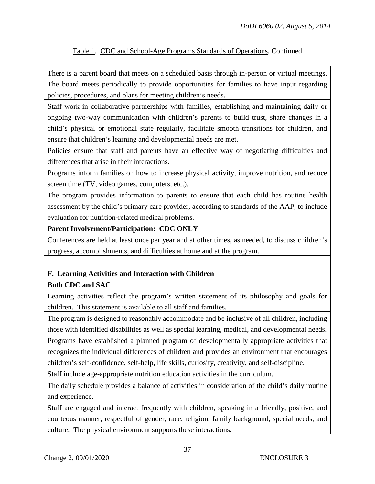There is a parent board that meets on a scheduled basis through in-person or virtual meetings. The board meets periodically to provide opportunities for families to have input regarding policies, procedures, and plans for meeting children's needs.

Staff work in collaborative partnerships with families, establishing and maintaining daily or ongoing two-way communication with children's parents to build trust, share changes in a child's physical or emotional state regularly, facilitate smooth transitions for children, and ensure that children's learning and developmental needs are met.

Policies ensure that staff and parents have an effective way of negotiating difficulties and differences that arise in their interactions.

Programs inform families on how to increase physical activity, improve nutrition, and reduce screen time (TV, video games, computers, etc.).

The program provides information to parents to ensure that each child has routine health assessment by the child's primary care provider, according to standards of the AAP, to include evaluation for nutrition-related medical problems.

**Parent Involvement/Participation: CDC ONLY** 

Conferences are held at least once per year and at other times, as needed, to discuss children's progress, accomplishments, and difficulties at home and at the program.

# **F. Learning Activities and Interaction with Children**

#### **Both CDC and SAC**

Learning activities reflect the program's written statement of its philosophy and goals for children. This statement is available to all staff and families.

The program is designed to reasonably accommodate and be inclusive of all children, including those with identified disabilities as well as special learning, medical, and developmental needs.

Programs have established a planned program of developmentally appropriate activities that recognizes the individual differences of children and provides an environment that encourages children's self-confidence, self-help, life skills, curiosity, creativity, and self-discipline.

Staff include age-appropriate nutrition education activities in the curriculum.

The daily schedule provides a balance of activities in consideration of the child's daily routine and experience.

Staff are engaged and interact frequently with children, speaking in a friendly, positive, and courteous manner, respectful of gender, race, religion, family background, special needs, and culture. The physical environment supports these interactions.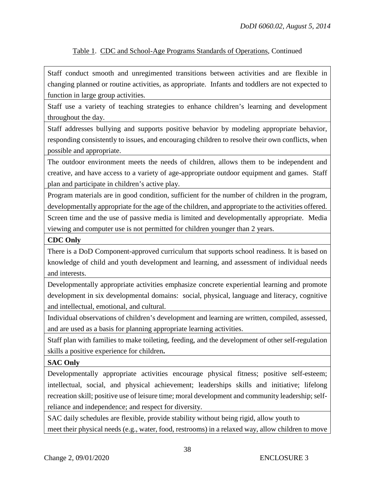Staff conduct smooth and unregimented transitions between activities and are flexible in changing planned or routine activities, as appropriate. Infants and toddlers are not expected to function in large group activities.

Staff use a variety of teaching strategies to enhance children's learning and development throughout the day.

Staff addresses bullying and supports positive behavior by modeling appropriate behavior, responding consistently to issues, and encouraging children to resolve their own conflicts, when possible and appropriate.

The outdoor environment meets the needs of children, allows them to be independent and creative, and have access to a variety of age-appropriate outdoor equipment and games. Staff plan and participate in children's active play.

Program materials are in good condition, sufficient for the number of children in the program, developmentally appropriate for the age of the children, and appropriate to the activities offered. Screen time and the use of passive media is limited and developmentally appropriate. Media viewing and computer use is not permitted for children younger than 2 years.

#### **CDC Only**

There is a DoD Component-approved curriculum that supports school readiness. It is based on knowledge of child and youth development and learning, and assessment of individual needs and interests.

Developmentally appropriate activities emphasize concrete experiential learning and promote development in six developmental domains: social, physical, language and literacy, cognitive and intellectual, emotional, and cultural.

Individual observations of children's development and learning are written, compiled, assessed, and are used as a basis for planning appropriate learning activities.

Staff plan with families to make toileting, feeding, and the development of other self-regulation skills a positive experience for children**.** 

**SAC Only**

Developmentally appropriate activities encourage physical fitness; positive self-esteem; intellectual, social, and physical achievement; leaderships skills and initiative; lifelong recreation skill; positive use of leisure time; moral development and community leadership; selfreliance and independence; and respect for diversity.

SAC daily schedules are flexible, provide stability without being rigid, allow youth to meet their physical needs (e.g., water, food, restrooms) in a relaxed way, allow children to move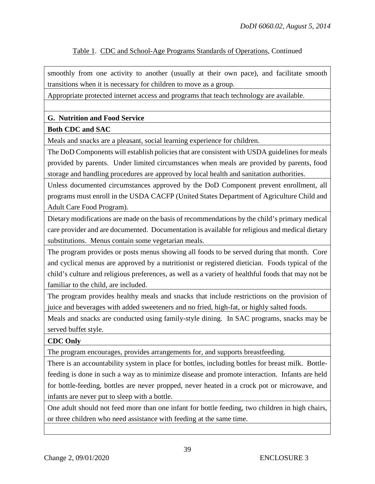smoothly from one activity to another (usually at their own pace), and facilitate smooth transitions when it is necessary for children to move as a group.

Appropriate protected internet access and programs that teach technology are available.

# **G. Nutrition and Food Service**

#### **Both CDC and SAC**

Meals and snacks are a pleasant, social learning experience for children.

The DoD Components will establish policies that are consistent with USDA guidelines for meals provided by parents. Under limited circumstances when meals are provided by parents, food storage and handling procedures are approved by local health and sanitation authorities.

Unless documented circumstances approved by the DoD Component prevent enrollment, all programs must enroll in the USDA CACFP (United States Department of Agriculture Child and Adult Care Food Program).

Dietary modifications are made on the basis of recommendations by the child's primary medical care provider and are documented. Documentation is available for religious and medical dietary substitutions. Menus contain some vegetarian meals.

The program provides or posts menus showing all foods to be served during that month. Core and cyclical menus are approved by a nutritionist or registered dietician. Foods typical of the child's culture and religious preferences, as well as a variety of healthful foods that may not be familiar to the child, are included.

The program provides healthy meals and snacks that include restrictions on the provision of juice and beverages with added sweeteners and no fried, high-fat, or highly salted foods.

Meals and snacks are conducted using family-style dining. In SAC programs, snacks may be served buffet style.

#### **CDC Only**

The program encourages, provides arrangements for, and supports breastfeeding.

There is an accountability system in place for bottles, including bottles for breast milk. Bottlefeeding is done in such a way as to minimize disease and promote interaction. Infants are held for bottle-feeding, bottles are never propped, never heated in a crock pot or microwave, and infants are never put to sleep with a bottle.

One adult should not feed more than one infant for bottle feeding, two children in high chairs, or three children who need assistance with feeding at the same time.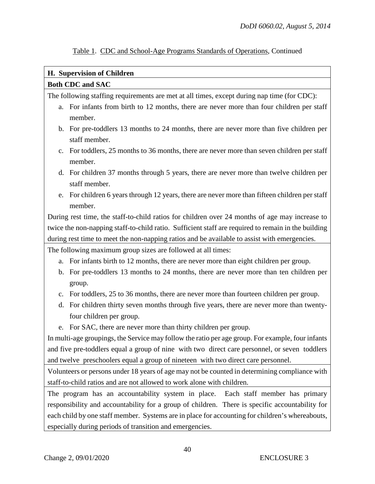#### **H. Supervision of Children**

#### **Both CDC and SAC**

The following staffing requirements are met at all times, except during nap time (for CDC):

- a. For infants from birth to 12 months, there are never more than four children per staff member.
- b. For pre-toddlers 13 months to 24 months, there are never more than five children per staff member.
- c. For toddlers, 25 months to 36 months, there are never more than seven children per staff member.
- d. For children 37 months through 5 years, there are never more than twelve children per staff member.
- e. For children 6 years through 12 years, there are never more than fifteen children per staff member.

During rest time, the staff-to-child ratios for children over 24 months of age may increase to twice the non-napping staff-to-child ratio. Sufficient staff are required to remain in the building during rest time to meet the non-napping ratios and be available to assist with emergencies.

The following maximum group sizes are followed at all times:

- a. For infants birth to 12 months, there are never more than eight children per group.
- b. For pre-toddlers 13 months to 24 months, there are never more than ten children per group.
- c. For toddlers, 25 to 36 months, there are never more than fourteen children per group.
- d. For children thirty seven months through five years, there are never more than twentyfour children per group.
- e. For SAC, there are never more than thirty children per group.

In multi-age groupings, the Service may follow the ratio per age group. For example, four infants and five pre-toddlers equal a group of nine with two direct care personnel, or seven toddlers and twelve preschoolers equal a group of nineteen with two direct care personnel.

Volunteers or persons under 18 years of age may not be counted in determining compliance with staff-to-child ratios and are not allowed to work alone with children.

The program has an accountability system in place. Each staff member has primary responsibility and accountability for a group of children. There is specific accountability for each child by one staff member. Systems are in place for accounting for children's whereabouts, especially during periods of transition and emergencies.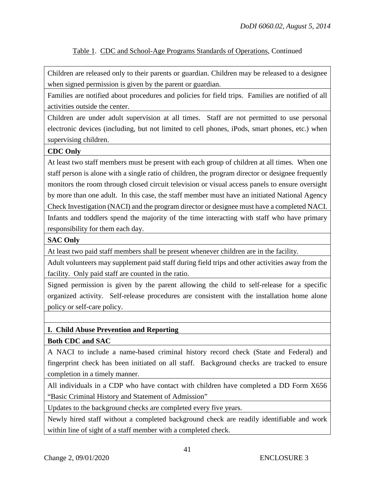Children are released only to their parents or guardian. Children may be released to a designee when signed permission is given by the parent or guardian.

Families are notified about procedures and policies for field trips. Families are notified of all activities outside the center.

Children are under adult supervision at all times. Staff are not permitted to use personal electronic devices (including, but not limited to cell phones, iPods, smart phones, etc.) when supervising children.

#### **CDC Only**

At least two staff members must be present with each group of children at all times. When one staff person is alone with a single ratio of children, the program director or designee frequently monitors the room through closed circuit television or visual access panels to ensure oversight by more than one adult. In this case, the staff member must have an initiated National Agency Check Investigation (NACI) and the program director or designee must have a completed NACI. Infants and toddlers spend the majority of the time interacting with staff who have primary responsibility for them each day.

#### **SAC Only**

At least two paid staff members shall be present whenever children are in the facility.

Adult volunteers may supplement paid staff during field trips and other activities away from the facility. Only paid staff are counted in the ratio.

Signed permission is given by the parent allowing the child to self-release for a specific organized activity. Self-release procedures are consistent with the installation home alone policy or self-care policy.

#### **I. Child Abuse Prevention and Reporting**

**Both CDC and SAC**

A NACI to include a name-based criminal history record check (State and Federal) and fingerprint check has been initiated on all staff. Background checks are tracked to ensure completion in a timely manner.

All individuals in a CDP who have contact with children have completed a DD Form X656 "Basic Criminal History and Statement of Admission"

Updates to the background checks are completed every five years.

Newly hired staff without a completed background check are readily identifiable and work within line of sight of a staff member with a completed check.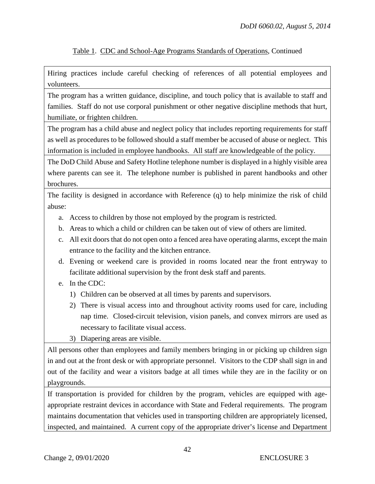Hiring practices include careful checking of references of all potential employees and volunteers.

The program has a written guidance, discipline, and touch policy that is available to staff and families. Staff do not use corporal punishment or other negative discipline methods that hurt, humiliate, or frighten children.

The program has a child abuse and neglect policy that includes reporting requirements for staff as well as procedures to be followed should a staff member be accused of abuse or neglect. This information is included in employee handbooks. All staff are knowledgeable of the policy.

The DoD Child Abuse and Safety Hotline telephone number is displayed in a highly visible area where parents can see it. The telephone number is published in parent handbooks and other brochures.

The facility is designed in accordance with Reference (q) to help minimize the risk of child abuse:

- a. Access to children by those not employed by the program is restricted.
- b. Areas to which a child or children can be taken out of view of others are limited.
- c. All exit doors that do not open onto a fenced area have operating alarms, except the main entrance to the facility and the kitchen entrance.
- d. Evening or weekend care is provided in rooms located near the front entryway to facilitate additional supervision by the front desk staff and parents.
- e. In the CDC:
	- 1) Children can be observed at all times by parents and supervisors.
	- 2) There is visual access into and throughout activity rooms used for care, including nap time. Closed-circuit television, vision panels, and convex mirrors are used as necessary to facilitate visual access.

3) Diapering areas are visible.

All persons other than employees and family members bringing in or picking up children sign in and out at the front desk or with appropriate personnel. Visitors to the CDP shall sign in and out of the facility and wear a visitors badge at all times while they are in the facility or on playgrounds.

If transportation is provided for children by the program, vehicles are equipped with ageappropriate restraint devices in accordance with State and Federal requirements. The program maintains documentation that vehicles used in transporting children are appropriately licensed, inspected, and maintained. A current copy of the appropriate driver's license and Department

42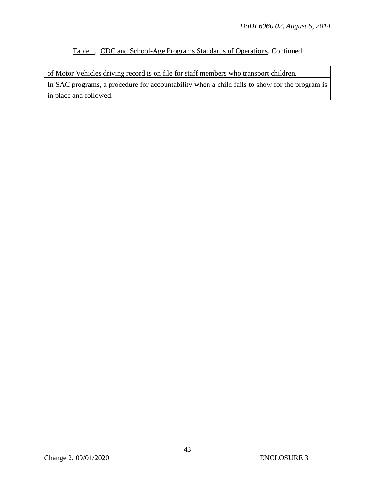of Motor Vehicles driving record is on file for staff members who transport children. In SAC programs, a procedure for accountability when a child fails to show for the program is in place and followed.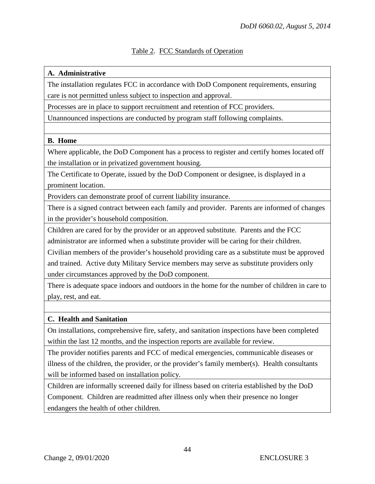# Table 2. FCC Standards of Operation

#### **A. Administrative**

The installation regulates FCC in accordance with DoD Component requirements, ensuring care is not permitted unless subject to inspection and approval.

Processes are in place to support recruitment and retention of FCC providers.

Unannounced inspections are conducted by program staff following complaints.

#### **B. Home**

Where applicable, the DoD Component has a process to register and certify homes located off the installation or in privatized government housing.

The Certificate to Operate, issued by the DoD Component or designee, is displayed in a prominent location.

Providers can demonstrate proof of current liability insurance.

There is a signed contract between each family and provider. Parents are informed of changes in the provider's household composition.

Children are cared for by the provider or an approved substitute. Parents and the FCC administrator are informed when a substitute provider will be caring for their children.

Civilian members of the provider's household providing care as a substitute must be approved and trained. Active duty Military Service members may serve as substitute providers only under circumstances approved by the DoD component.

There is adequate space indoors and outdoors in the home for the number of children in care to play, rest, and eat.

#### **C. Health and Sanitation**

On installations, comprehensive fire, safety, and sanitation inspections have been completed within the last 12 months, and the inspection reports are available for review.

The provider notifies parents and FCC of medical emergencies, communicable diseases or illness of the children, the provider, or the provider's family member(s). Health consultants will be informed based on installation policy.

Children are informally screened daily for illness based on criteria established by the DoD Component. Children are readmitted after illness only when their presence no longer endangers the health of other children.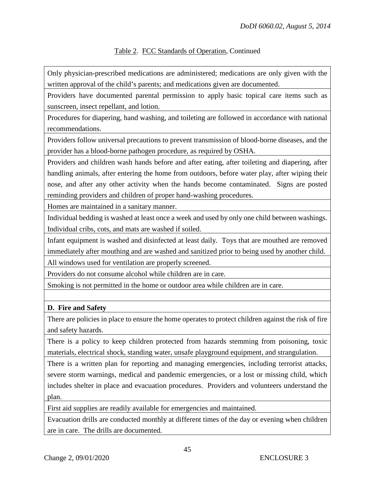Only physician-prescribed medications are administered; medications are only given with the written approval of the child's parents; and medications given are documented.

Providers have documented parental permission to apply basic topical care items such as sunscreen, insect repellant, and lotion.

Procedures for diapering, hand washing, and toileting are followed in accordance with national recommendations.

Providers follow universal precautions to prevent transmission of blood-borne diseases, and the provider has a blood-borne pathogen procedure, as required by OSHA.

Providers and children wash hands before and after eating, after toileting and diapering, after handling animals, after entering the home from outdoors, before water play, after wiping their nose, and after any other activity when the hands become contaminated. Signs are posted reminding providers and children of proper hand-washing procedures.

Homes are maintained in a sanitary manner.

Individual bedding is washed at least once a week and used by only one child between washings. Individual cribs, cots, and mats are washed if soiled.

Infant equipment is washed and disinfected at least daily. Toys that are mouthed are removed immediately after mouthing and are washed and sanitized prior to being used by another child.

All windows used for ventilation are properly screened.

Providers do not consume alcohol while children are in care.

Smoking is not permitted in the home or outdoor area while children are in care.

#### **D. Fire and Safety**

There are policies in place to ensure the home operates to protect children against the risk of fire and safety hazards.

There is a policy to keep children protected from hazards stemming from poisoning, toxic materials, electrical shock, standing water, unsafe playground equipment, and strangulation.

There is a written plan for reporting and managing emergencies, including terrorist attacks, severe storm warnings, medical and pandemic emergencies, or a lost or missing child, which includes shelter in place and evacuation procedures. Providers and volunteers understand the plan.

First aid supplies are readily available for emergencies and maintained.

Evacuation drills are conducted monthly at different times of the day or evening when children are in care. The drills are documented.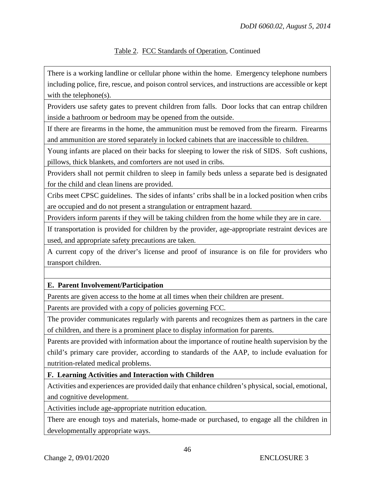There is a working landline or cellular phone within the home. Emergency telephone numbers including police, fire, rescue, and poison control services, and instructions are accessible or kept with the telephone(s).

Providers use safety gates to prevent children from falls. Door locks that can entrap children inside a bathroom or bedroom may be opened from the outside.

If there are firearms in the home, the ammunition must be removed from the firearm. Firearms and ammunition are stored separately in locked cabinets that are inaccessible to children.

Young infants are placed on their backs for sleeping to lower the risk of SIDS. Soft cushions, pillows, thick blankets, and comforters are not used in cribs.

Providers shall not permit children to sleep in family beds unless a separate bed is designated for the child and clean linens are provided.

Cribs meet CPSC guidelines. The sides of infants' cribs shall be in a locked position when cribs are occupied and do not present a strangulation or entrapment hazard.

Providers inform parents if they will be taking children from the home while they are in care.

If transportation is provided for children by the provider, age-appropriate restraint devices are used, and appropriate safety precautions are taken.

A current copy of the driver's license and proof of insurance is on file for providers who transport children.

# **E. Parent Involvement/Participation**

Parents are given access to the home at all times when their children are present.

Parents are provided with a copy of policies governing FCC.

The provider communicates regularly with parents and recognizes them as partners in the care of children, and there is a prominent place to display information for parents.

Parents are provided with information about the importance of routine health supervision by the child's primary care provider, according to standards of the AAP, to include evaluation for nutrition-related medical problems.

**F. Learning Activities and Interaction with Children**

Activities and experiences are provided daily that enhance children's physical, social, emotional, and cognitive development.

Activities include age-appropriate nutrition education.

There are enough toys and materials, home-made or purchased, to engage all the children in developmentally appropriate ways.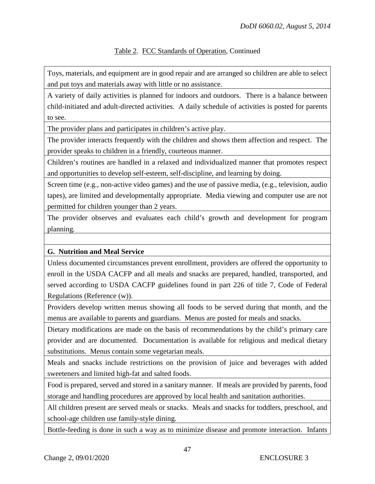Toys, materials, and equipment are in good repair and are arranged so children are able to select and put toys and materials away with little or no assistance.

A variety of daily activities is planned for indoors and outdoors. There is a balance between child-initiated and adult-directed activities. A daily schedule of activities is posted for parents to see.

The provider plans and participates in children's active play.

The provider interacts frequently with the children and shows them affection and respect. The provider speaks to children in a friendly, courteous manner.

Children's routines are handled in a relaxed and individualized manner that promotes respect and opportunities to develop self-esteem, self-discipline, and learning by doing.

Screen time (e.g., non-active video games) and the use of passive media, (e.g., television, audio tapes), are limited and developmentally appropriate. Media viewing and computer use are not permitted for children younger than 2 years.

The provider observes and evaluates each child's growth and development for program planning.

#### **G. Nutrition and Meal Service**

Unless documented circumstances prevent enrollment, providers are offered the opportunity to enroll in the USDA CACFP and all meals and snacks are prepared, handled, transported, and served according to USDA CACFP guidelines found in part 226 of title 7, Code of Federal Regulations (Reference (w)).

Providers develop written menus showing all foods to be served during that month, and the menus are available to parents and guardians. Menus are posted for meals and snacks.

Dietary modifications are made on the basis of recommendations by the child's primary care provider and are documented. Documentation is available for religious and medical dietary substitutions. Menus contain some vegetarian meals.

Meals and snacks include restrictions on the provision of juice and beverages with added sweeteners and limited high-fat and salted foods.

Food is prepared, served and stored in a sanitary manner. If meals are provided by parents, food storage and handling procedures are approved by local health and sanitation authorities.

All children present are served meals or snacks. Meals and snacks for toddlers, preschool, and school-age children use family-style dining.

Bottle-feeding is done in such a way as to minimize disease and promote interaction. Infants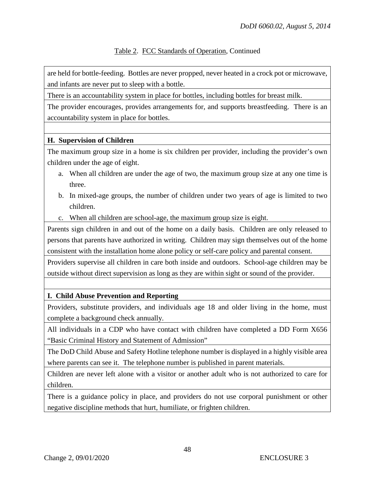are held for bottle-feeding. Bottles are never propped, never heated in a crock pot or microwave, and infants are never put to sleep with a bottle.

There is an accountability system in place for bottles, including bottles for breast milk.

The provider encourages, provides arrangements for, and supports breastfeeding. There is an accountability system in place for bottles.

#### **H. Supervision of Children**

The maximum group size in a home is six children per provider, including the provider's own children under the age of eight.

- a. When all children are under the age of two, the maximum group size at any one time is three.
- b. In mixed-age groups, the number of children under two years of age is limited to two children.
- c. When all children are school-age, the maximum group size is eight.

Parents sign children in and out of the home on a daily basis. Children are only released to persons that parents have authorized in writing. Children may sign themselves out of the home consistent with the installation home alone policy or self-care policy and parental consent.

Providers supervise all children in care both inside and outdoors. School-age children may be outside without direct supervision as long as they are within sight or sound of the provider.

#### **I. Child Abuse Prevention and Reporting**

Providers, substitute providers, and individuals age 18 and older living in the home, must complete a background check annually.

All individuals in a CDP who have contact with children have completed a DD Form X656 "Basic Criminal History and Statement of Admission"

The DoD Child Abuse and Safety Hotline telephone number is displayed in a highly visible area where parents can see it. The telephone number is published in parent materials.

Children are never left alone with a visitor or another adult who is not authorized to care for children.

There is a guidance policy in place, and providers do not use corporal punishment or other negative discipline methods that hurt, humiliate, or frighten children.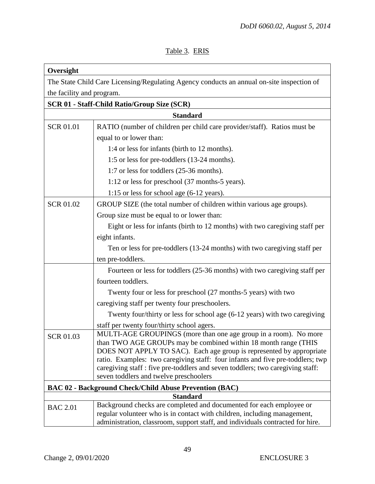# Table 3. ERIS

| Oversight                 |                                                                                                                                         |  |  |
|---------------------------|-----------------------------------------------------------------------------------------------------------------------------------------|--|--|
|                           | The State Child Care Licensing/Regulating Agency conducts an annual on-site inspection of                                               |  |  |
| the facility and program. |                                                                                                                                         |  |  |
|                           | <b>SCR 01 - Staff-Child Ratio/Group Size (SCR)</b>                                                                                      |  |  |
|                           | <b>Standard</b>                                                                                                                         |  |  |
| <b>SCR 01.01</b>          | RATIO (number of children per child care provider/staff). Ratios must be                                                                |  |  |
|                           | equal to or lower than:                                                                                                                 |  |  |
|                           | 1:4 or less for infants (birth to 12 months).                                                                                           |  |  |
|                           | 1:5 or less for pre-toddlers (13-24 months).                                                                                            |  |  |
|                           | 1:7 or less for toddlers (25-36 months).                                                                                                |  |  |
|                           | 1:12 or less for preschool (37 months-5 years).                                                                                         |  |  |
|                           | 1:15 or less for school age (6-12 years).                                                                                               |  |  |
| <b>SCR 01.02</b>          | GROUP SIZE (the total number of children within various age groups).                                                                    |  |  |
|                           | Group size must be equal to or lower than:                                                                                              |  |  |
|                           | Eight or less for infants (birth to 12 months) with two caregiving staff per                                                            |  |  |
|                           | eight infants.                                                                                                                          |  |  |
|                           | Ten or less for pre-toddlers (13-24 months) with two caregiving staff per                                                               |  |  |
|                           | ten pre-toddlers.                                                                                                                       |  |  |
|                           | Fourteen or less for toddlers (25-36 months) with two caregiving staff per                                                              |  |  |
|                           | fourteen toddlers.                                                                                                                      |  |  |
|                           | Twenty four or less for preschool (27 months-5 years) with two                                                                          |  |  |
|                           | caregiving staff per twenty four preschoolers.                                                                                          |  |  |
|                           | Twenty four/thirty or less for school age (6-12 years) with two caregiving                                                              |  |  |
|                           | staff per twenty four/thirty school agers.                                                                                              |  |  |
| <b>SCR 01.03</b>          | MULTI-AGE GROUPINGS (more than one age group in a room). No more                                                                        |  |  |
|                           | than TWO AGE GROUPs may be combined within 18 month range (THIS<br>DOES NOT APPLY TO SAC). Each age group is represented by appropriate |  |  |
|                           | ratio. Examples: two caregiving staff: four infants and five pre-toddlers; twp                                                          |  |  |
|                           | caregiving staff : five pre-toddlers and seven toddlers; two caregiving staff:                                                          |  |  |
|                           | seven toddlers and twelve preschoolers                                                                                                  |  |  |
|                           | <b>BAC 02 - Background Check/Child Abuse Prevention (BAC)</b>                                                                           |  |  |
|                           | <b>Standard</b>                                                                                                                         |  |  |
| <b>BAC 2.01</b>           | Background checks are completed and documented for each employee or                                                                     |  |  |
|                           | regular volunteer who is in contact with children, including management,                                                                |  |  |
|                           | administration, classroom, support staff, and individuals contracted for hire.                                                          |  |  |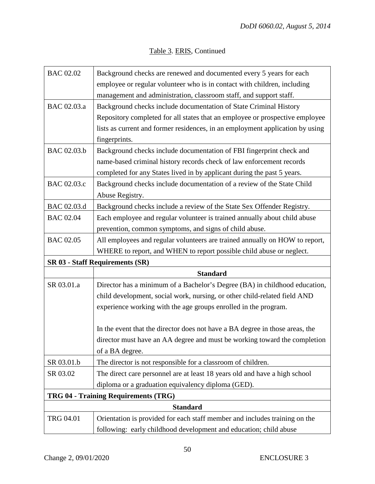| <b>BAC 02.02</b>                       | Background checks are renewed and documented every 5 years for each           |  |
|----------------------------------------|-------------------------------------------------------------------------------|--|
|                                        | employee or regular volunteer who is in contact with children, including      |  |
|                                        | management and administration, classroom staff, and support staff.            |  |
| BAC 02.03.a                            | Background checks include documentation of State Criminal History             |  |
|                                        | Repository completed for all states that an employee or prospective employee  |  |
|                                        | lists as current and former residences, in an employment application by using |  |
|                                        | fingerprints.                                                                 |  |
| BAC 02.03.b                            | Background checks include documentation of FBI fingerprint check and          |  |
|                                        | name-based criminal history records check of law enforcement records          |  |
|                                        | completed for any States lived in by applicant during the past 5 years.       |  |
| BAC 02.03.c                            | Background checks include documentation of a review of the State Child        |  |
|                                        | Abuse Registry.                                                               |  |
| BAC 02.03.d                            | Background checks include a review of the State Sex Offender Registry.        |  |
| <b>BAC 02.04</b>                       | Each employee and regular volunteer is trained annually about child abuse     |  |
|                                        | prevention, common symptoms, and signs of child abuse.                        |  |
| <b>BAC 02.05</b>                       | All employees and regular volunteers are trained annually on HOW to report,   |  |
|                                        | WHERE to report, and WHEN to report possible child abuse or neglect.          |  |
| <b>SR 03 - Staff Requirements (SR)</b> |                                                                               |  |
|                                        | <b>Standard</b>                                                               |  |
| SR 03.01.a                             | Director has a minimum of a Bachelor's Degree (BA) in childhood education,    |  |
|                                        | child development, social work, nursing, or other child-related field AND     |  |
|                                        | experience working with the age groups enrolled in the program.               |  |
|                                        |                                                                               |  |
|                                        | In the event that the director does not have a BA degree in those areas, the  |  |
|                                        |                                                                               |  |
|                                        | director must have an AA degree and must be working toward the completion     |  |
|                                        | of a BA degree.                                                               |  |
| SR 03.01.b                             | The director is not responsible for a classroom of children.                  |  |
| SR 03.02                               | The direct care personnel are at least 18 years old and have a high school    |  |
|                                        | diploma or a graduation equivalency diploma (GED).                            |  |
|                                        | TRG 04 - Training Requirements (TRG)                                          |  |
|                                        | <b>Standard</b>                                                               |  |
| TRG 04.01                              | Orientation is provided for each staff member and includes training on the    |  |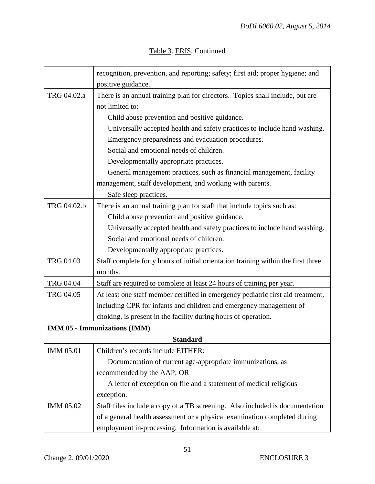|             | recognition, prevention, and reporting; safety; first aid; proper hygiene; and    |  |
|-------------|-----------------------------------------------------------------------------------|--|
|             | positive guidance.                                                                |  |
| TRG 04.02.a | There is an annual training plan for directors. Topics shall include, but are     |  |
|             | not limited to:                                                                   |  |
|             | Child abuse prevention and positive guidance.                                     |  |
|             | Universally accepted health and safety practices to include hand washing.         |  |
|             | Emergency preparedness and evacuation procedures.                                 |  |
|             | Social and emotional needs of children.                                           |  |
|             | Developmentally appropriate practices.                                            |  |
|             | General management practices, such as financial management, facility              |  |
|             | management, staff development, and working with parents.                          |  |
|             | Safe sleep practices.                                                             |  |
| TRG 04.02.b | There is an annual training plan for staff that include topics such as:           |  |
|             | Child abuse prevention and positive guidance.                                     |  |
|             | Universally accepted health and safety practices to include hand washing.         |  |
|             | Social and emotional needs of children.                                           |  |
|             | Developmentally appropriate practices.                                            |  |
| TRG 04.03   | Staff complete forty hours of initial orientation training within the first three |  |
|             | months.                                                                           |  |
| TRG 04.04   | Staff are required to complete at least 24 hours of training per year.            |  |
| TRG 04.05   | At least one staff member certified in emergency pediatric first aid treatment,   |  |
|             | including CPR for infants and children and emergency management of                |  |
|             | choking, is present in the facility during hours of operation.                    |  |
|             | <b>IMM 05 - Immunizations (IMM)</b>                                               |  |
|             | <b>Standard</b>                                                                   |  |
| IMM 05.01   | Children's records include EITHER:                                                |  |
|             | Documentation of current age-appropriate immunizations, as                        |  |
|             | recommended by the AAP; OR                                                        |  |
|             | A letter of exception on file and a statement of medical religious                |  |
|             | exception.                                                                        |  |
| IMM 05.02   | Staff files include a copy of a TB screening. Also included is documentation      |  |
|             | of a general health assessment or a physical examination completed during         |  |
|             | employment in-processing. Information is available at:                            |  |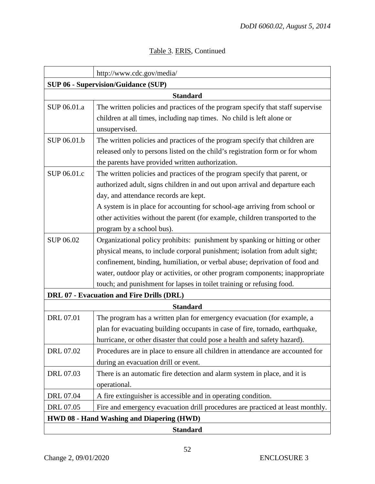| http://www.cdc.gov/media/                        |                                                                                |  |  |
|--------------------------------------------------|--------------------------------------------------------------------------------|--|--|
| <b>SUP 06 - Supervision/Guidance (SUP)</b>       |                                                                                |  |  |
|                                                  | <b>Standard</b>                                                                |  |  |
| SUP 06.01.a                                      | The written policies and practices of the program specify that staff supervise |  |  |
|                                                  | children at all times, including nap times. No child is left alone or          |  |  |
|                                                  | unsupervised.                                                                  |  |  |
| SUP 06.01.b                                      | The written policies and practices of the program specify that children are    |  |  |
|                                                  | released only to persons listed on the child's registration form or for whom   |  |  |
|                                                  | the parents have provided written authorization.                               |  |  |
| SUP 06.01.c                                      | The written policies and practices of the program specify that parent, or      |  |  |
|                                                  | authorized adult, signs children in and out upon arrival and departure each    |  |  |
|                                                  | day, and attendance records are kept.                                          |  |  |
|                                                  | A system is in place for accounting for school-age arriving from school or     |  |  |
|                                                  | other activities without the parent (for example, children transported to the  |  |  |
|                                                  | program by a school bus).                                                      |  |  |
| SUP 06.02                                        | Organizational policy prohibits: punishment by spanking or hitting or other    |  |  |
|                                                  | physical means, to include corporal punishment; isolation from adult sight;    |  |  |
|                                                  | confinement, binding, humiliation, or verbal abuse; deprivation of food and    |  |  |
|                                                  | water, outdoor play or activities, or other program components; inappropriate  |  |  |
|                                                  | touch; and punishment for lapses in toilet training or refusing food.          |  |  |
| DRL 07 - Evacuation and Fire Drills (DRL)        |                                                                                |  |  |
|                                                  | <b>Standard</b>                                                                |  |  |
| DRL 07.01                                        | The program has a written plan for emergency evacuation (for example, a        |  |  |
|                                                  | plan for evacuating building occupants in case of fire, tornado, earthquake,   |  |  |
|                                                  | hurricane, or other disaster that could pose a health and safety hazard).      |  |  |
| DRL 07.02                                        | Procedures are in place to ensure all children in attendance are accounted for |  |  |
|                                                  | during an evacuation drill or event.                                           |  |  |
| DRL 07.03                                        | There is an automatic fire detection and alarm system in place, and it is      |  |  |
|                                                  | operational.                                                                   |  |  |
| DRL 07.04                                        | A fire extinguisher is accessible and in operating condition.                  |  |  |
| DRL 07.05                                        | Fire and emergency evacuation drill procedures are practiced at least monthly. |  |  |
| <b>HWD 08 - Hand Washing and Diapering (HWD)</b> |                                                                                |  |  |
| <b>Standard</b>                                  |                                                                                |  |  |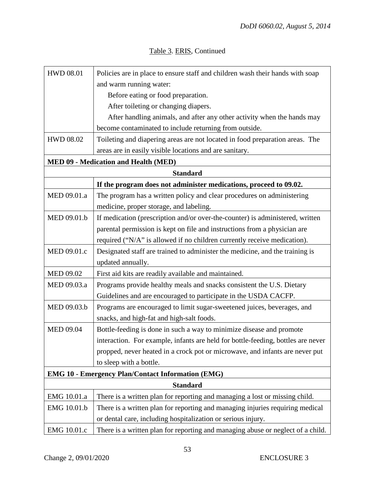| <b>HWD 08.01</b>                                         | Policies are in place to ensure staff and children wash their hands with soap    |  |
|----------------------------------------------------------|----------------------------------------------------------------------------------|--|
|                                                          | and warm running water:                                                          |  |
|                                                          | Before eating or food preparation.                                               |  |
|                                                          | After toileting or changing diapers.                                             |  |
|                                                          | After handling animals, and after any other activity when the hands may          |  |
|                                                          | become contaminated to include returning from outside.                           |  |
| <b>HWD 08.02</b>                                         | Toileting and diapering areas are not located in food preparation areas. The     |  |
|                                                          | areas are in easily visible locations and are sanitary.                          |  |
|                                                          | <b>MED 09 - Medication and Health (MED)</b>                                      |  |
|                                                          | <b>Standard</b>                                                                  |  |
|                                                          | If the program does not administer medications, proceed to 09.02.                |  |
| MED 09.01.a                                              | The program has a written policy and clear procedures on administering           |  |
|                                                          | medicine, proper storage, and labeling.                                          |  |
| MED 09.01.b                                              | If medication (prescription and/or over-the-counter) is administered, written    |  |
|                                                          | parental permission is kept on file and instructions from a physician are        |  |
|                                                          | required ("N/A" is allowed if no children currently receive medication).         |  |
| MED 09.01.c                                              | Designated staff are trained to administer the medicine, and the training is     |  |
|                                                          | updated annually.                                                                |  |
| <b>MED 09.02</b>                                         | First aid kits are readily available and maintained.                             |  |
| MED 09.03.a                                              | Programs provide healthy meals and snacks consistent the U.S. Dietary            |  |
|                                                          | Guidelines and are encouraged to participate in the USDA CACFP.                  |  |
| MED 09.03.b                                              | Programs are encouraged to limit sugar-sweetened juices, beverages, and          |  |
|                                                          | snacks, and high-fat and high-salt foods.                                        |  |
| <b>MED 09.04</b>                                         | Bottle-feeding is done in such a way to minimize disease and promote             |  |
|                                                          | interaction. For example, infants are held for bottle-feeding, bottles are never |  |
|                                                          | propped, never heated in a crock pot or microwave, and infants are never put     |  |
|                                                          | to sleep with a bottle.                                                          |  |
| <b>EMG 10 - Emergency Plan/Contact Information (EMG)</b> |                                                                                  |  |
|                                                          | <b>Standard</b>                                                                  |  |
| EMG 10.01.a                                              | There is a written plan for reporting and managing a lost or missing child.      |  |
| EMG 10.01.b                                              | There is a written plan for reporting and managing injuries requiring medical    |  |
|                                                          | or dental care, including hospitalization or serious injury.                     |  |
| EMG 10.01.c                                              | There is a written plan for reporting and managing abuse or neglect of a child.  |  |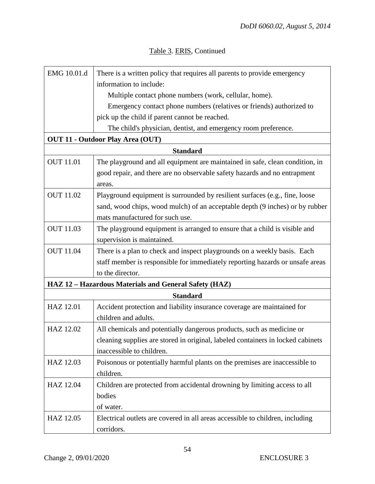|  |  | Table 3. ERIS, Continued |
|--|--|--------------------------|
|--|--|--------------------------|

| EMG 10.01.d      | There is a written policy that requires all parents to provide emergency                                        |
|------------------|-----------------------------------------------------------------------------------------------------------------|
|                  | information to include:                                                                                         |
|                  | Multiple contact phone numbers (work, cellular, home).                                                          |
|                  | Emergency contact phone numbers (relatives or friends) authorized to                                            |
|                  | pick up the child if parent cannot be reached.                                                                  |
|                  | The child's physician, dentist, and emergency room preference.                                                  |
|                  | <b>OUT 11 - Outdoor Play Area (OUT)</b>                                                                         |
|                  | <b>Standard</b>                                                                                                 |
| <b>OUT 11.01</b> | The playground and all equipment are maintained in safe, clean condition, in                                    |
|                  | good repair, and there are no observable safety hazards and no entrapment                                       |
| <b>OUT 11.02</b> | areas.<br>Playground equipment is surrounded by resilient surfaces (e.g., fine, loose                           |
|                  |                                                                                                                 |
|                  | sand, wood chips, wood mulch) of an acceptable depth (9 inches) or by rubber<br>mats manufactured for such use. |
| <b>OUT 11.03</b> |                                                                                                                 |
|                  | The playground equipment is arranged to ensure that a child is visible and<br>supervision is maintained.        |
| <b>OUT 11.04</b> | There is a plan to check and inspect playgrounds on a weekly basis. Each                                        |
|                  | staff member is responsible for immediately reporting hazards or unsafe areas                                   |
|                  | to the director.                                                                                                |
|                  | HAZ 12 - Hazardous Materials and General Safety (HAZ)                                                           |
|                  | <b>Standard</b>                                                                                                 |
| HAZ 12.01        | Accident protection and liability insurance coverage are maintained for                                         |
|                  | children and adults.                                                                                            |
| HAZ 12.02        | All chemicals and potentially dangerous products, such as medicine or                                           |
|                  | cleaning supplies are stored in original, labeled containers in locked cabinets                                 |
|                  | inaccessible to children.                                                                                       |
| HAZ 12.03        | Poisonous or potentially harmful plants on the premises are inaccessible to                                     |
|                  | children.                                                                                                       |
| HAZ 12.04        | Children are protected from accidental drowning by limiting access to all                                       |
|                  | bodies                                                                                                          |
|                  | of water.                                                                                                       |
| HAZ 12.05        | Electrical outlets are covered in all areas accessible to children, including                                   |
|                  | corridors.                                                                                                      |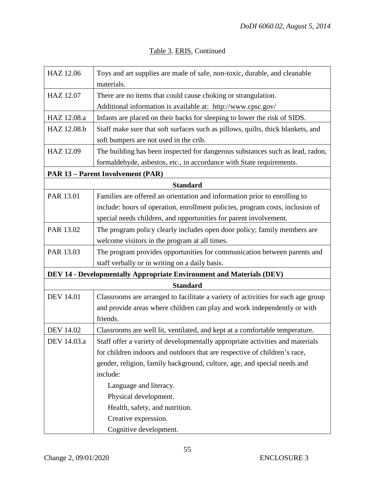| Table 3. ERIS, Continued |  |
|--------------------------|--|
|--------------------------|--|

| HAZ 12.06                                                            | Toys and art supplies are made of safe, non-toxic, durable, and cleanable<br>materials. |  |  |
|----------------------------------------------------------------------|-----------------------------------------------------------------------------------------|--|--|
| HAZ 12.07                                                            | There are no items that could cause choking or strangulation.                           |  |  |
|                                                                      | Additional information is available at: http://www.cpsc.gov/                            |  |  |
| HAZ 12.08.a                                                          | Infants are placed on their backs for sleeping to lower the risk of SIDS.               |  |  |
| HAZ 12.08.b                                                          | Staff make sure that soft surfaces such as pillows, quilts, thick blankets, and         |  |  |
|                                                                      | soft bumpers are not used in the crib.                                                  |  |  |
| HAZ 12.09                                                            | The building has been inspected for dangerous substances such as lead, radon,           |  |  |
|                                                                      | formaldehyde, asbestos, etc., in accordance with State requirements.                    |  |  |
| <b>PAR 13 - Parent Involvement (PAR)</b>                             |                                                                                         |  |  |
| <b>Standard</b>                                                      |                                                                                         |  |  |
| PAR 13.01                                                            | Families are offered an orientation and information prior to enrolling to               |  |  |
|                                                                      | include: hours of operation, enrollment policies, program costs, inclusion of           |  |  |
|                                                                      | special needs children, and opportunities for parent involvement.                       |  |  |
| PAR 13.02                                                            | The program policy clearly includes open door policy; family members are                |  |  |
|                                                                      | welcome visitors in the program at all times.                                           |  |  |
| PAR 13.03                                                            | The program provides opportunities for communication between parents and                |  |  |
|                                                                      | staff verbally or in writing on a daily basis.                                          |  |  |
| DEV 14 - Developmentally Appropriate Environment and Materials (DEV) |                                                                                         |  |  |
| <b>Standard</b>                                                      |                                                                                         |  |  |
| <b>DEV 14.01</b>                                                     | Classrooms are arranged to facilitate a variety of activities for each age group        |  |  |
|                                                                      | and provide areas where children can play and work independently or with                |  |  |
|                                                                      | friends.                                                                                |  |  |
| <b>DEV 14.02</b>                                                     | Classrooms are well lit, ventilated, and kept at a comfortable temperature.             |  |  |
| DEV 14.03.a                                                          | Staff offer a variety of developmentally appropriate activities and materials           |  |  |
|                                                                      | for children indoors and outdoors that are respective of children's race,               |  |  |
|                                                                      | gender, religion, family background, culture, age, and special needs and                |  |  |
|                                                                      | include:                                                                                |  |  |
|                                                                      | Language and literacy.                                                                  |  |  |
|                                                                      | Physical development.                                                                   |  |  |
|                                                                      | Health, safety, and nutrition.                                                          |  |  |
|                                                                      | Creative expression.                                                                    |  |  |
|                                                                      | Cognitive development.                                                                  |  |  |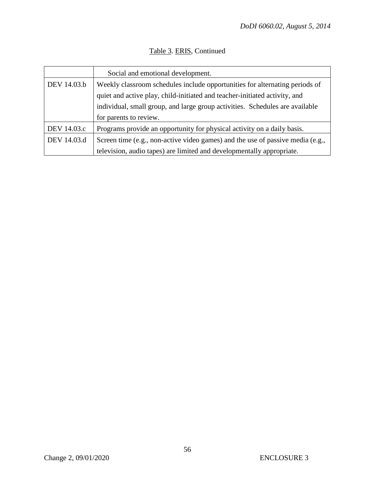|             | Social and emotional development.                                              |
|-------------|--------------------------------------------------------------------------------|
| DEV 14.03.b | Weekly classroom schedules include opportunities for alternating periods of    |
|             | quiet and active play, child-initiated and teacher-initiated activity, and     |
|             | individual, small group, and large group activities. Schedules are available   |
|             | for parents to review.                                                         |
| DEV 14.03.c | Programs provide an opportunity for physical activity on a daily basis.        |
| DEV 14.03.d | Screen time (e.g., non-active video games) and the use of passive media (e.g., |
|             | television, audio tapes) are limited and developmentally appropriate.          |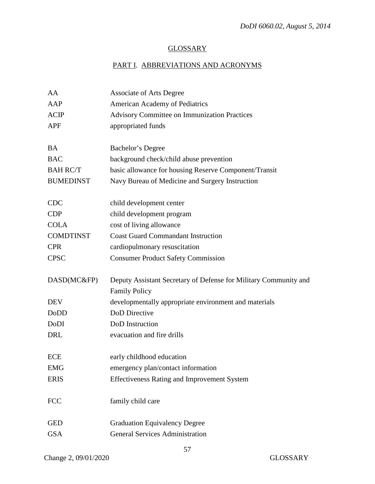# **GLOSSARY**

# PART I. ABBREVIATIONS AND ACRONYMS

| AA               | <b>Associate of Arts Degree</b>                                                          |
|------------------|------------------------------------------------------------------------------------------|
| AAP              | American Academy of Pediatrics                                                           |
| <b>ACIP</b>      | <b>Advisory Committee on Immunization Practices</b>                                      |
| <b>APF</b>       | appropriated funds                                                                       |
| <b>BA</b>        | Bachelor's Degree                                                                        |
| <b>BAC</b>       | background check/child abuse prevention                                                  |
| <b>BAH RC/T</b>  | basic allowance for housing Reserve Component/Transit                                    |
| <b>BUMEDINST</b> | Navy Bureau of Medicine and Surgery Instruction                                          |
| <b>CDC</b>       | child development center                                                                 |
| <b>CDP</b>       | child development program                                                                |
| <b>COLA</b>      | cost of living allowance                                                                 |
| <b>COMDTINST</b> | <b>Coast Guard Commandant Instruction</b>                                                |
| <b>CPR</b>       | cardiopulmonary resuscitation                                                            |
| <b>CPSC</b>      | <b>Consumer Product Safety Commission</b>                                                |
| DASD(MC&FP)      | Deputy Assistant Secretary of Defense for Military Community and<br><b>Family Policy</b> |
| <b>DEV</b>       | developmentally appropriate environment and materials                                    |
| DoDD             | DoD Directive                                                                            |
| DoDI             | DoD Instruction                                                                          |
| DRL              | evacuation and fire drills                                                               |
| <b>ECE</b>       | early childhood education                                                                |
| <b>EMG</b>       | emergency plan/contact information                                                       |
| <b>ERIS</b>      | Effectiveness Rating and Improvement System                                              |
| <b>FCC</b>       | family child care                                                                        |
| <b>GED</b>       | <b>Graduation Equivalency Degree</b>                                                     |
| <b>GSA</b>       | <b>General Services Administration</b>                                                   |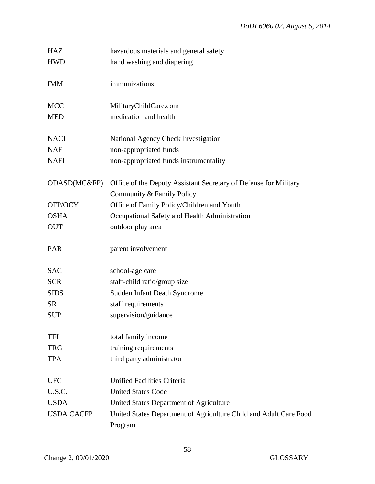| <b>HAZ</b>        | hazardous materials and general safety                            |
|-------------------|-------------------------------------------------------------------|
| <b>HWD</b>        | hand washing and diapering                                        |
|                   |                                                                   |
| <b>IMM</b>        | immunizations                                                     |
|                   |                                                                   |
| <b>MCC</b>        | MilitaryChildCare.com                                             |
| <b>MED</b>        | medication and health                                             |
|                   |                                                                   |
| <b>NACI</b>       | National Agency Check Investigation                               |
| <b>NAF</b>        | non-appropriated funds                                            |
| <b>NAFI</b>       | non-appropriated funds instrumentality                            |
|                   |                                                                   |
| ODASD(MC&FP)      | Office of the Deputy Assistant Secretary of Defense for Military  |
|                   | Community & Family Policy                                         |
| OFP/OCY           | Office of Family Policy/Children and Youth                        |
| <b>OSHA</b>       | Occupational Safety and Health Administration                     |
| <b>OUT</b>        | outdoor play area                                                 |
|                   |                                                                   |
| PAR               | parent involvement                                                |
|                   |                                                                   |
| <b>SAC</b>        | school-age care                                                   |
| <b>SCR</b>        | staff-child ratio/group size                                      |
| <b>SIDS</b>       | Sudden Infant Death Syndrome                                      |
| <b>SR</b>         | staff requirements                                                |
| <b>SUP</b>        | supervision/guidance                                              |
|                   |                                                                   |
| <b>TFI</b>        | total family income                                               |
| <b>TRG</b>        | training requirements                                             |
| <b>TPA</b>        | third party administrator                                         |
|                   |                                                                   |
| <b>UFC</b>        | Unified Facilities Criteria                                       |
| U.S.C.            | <b>United States Code</b>                                         |
| <b>USDA</b>       | United States Department of Agriculture                           |
| <b>USDA CACFP</b> | United States Department of Agriculture Child and Adult Care Food |
|                   | Program                                                           |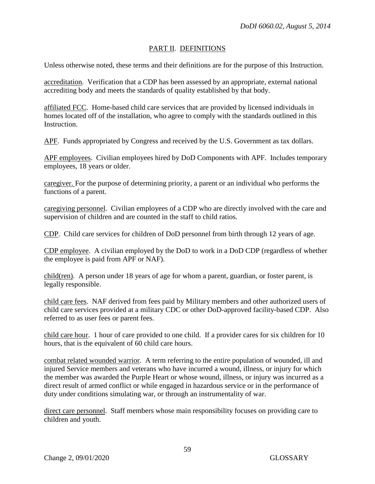#### PART II. DEFINITIONS

Unless otherwise noted, these terms and their definitions are for the purpose of this Instruction.

accreditation. Verification that a CDP has been assessed by an appropriate, external national accrediting body and meets the standards of quality established by that body.

affiliated FCC. Home-based child care services that are provided by licensed individuals in homes located off of the installation, who agree to comply with the standards outlined in this Instruction.

APF. Funds appropriated by Congress and received by the U.S. Government as tax dollars.

APF employees. Civilian employees hired by DoD Components with APF. Includes temporary employees, 18 years or older.

caregiver. For the purpose of determining priority, a parent or an individual who performs the functions of a parent.

caregiving personnel. Civilian employees of a CDP who are directly involved with the care and supervision of children and are counted in the staff to child ratios.

CDP. Child care services for children of DoD personnel from birth through 12 years of age.

CDP employee. A civilian employed by the DoD to work in a DoD CDP (regardless of whether the employee is paid from APF or NAF).

child(ren). A person under 18 years of age for whom a parent, guardian, or foster parent, is legally responsible.

child care fees. NAF derived from fees paid by Military members and other authorized users of child care services provided at a military CDC or other DoD-approved facility-based CDP. Also referred to as user fees or parent fees.

child care hour. 1 hour of care provided to one child. If a provider cares for six children for 10 hours, that is the equivalent of 60 child care hours.

combat related wounded warrior. A term referring to the entire population of wounded, ill and injured Service members and veterans who have incurred a wound, illness, or injury for which the member was awarded the Purple Heart or whose wound, illness, or injury was incurred as a direct result of armed conflict or while engaged in hazardous service or in the performance of duty under conditions simulating war, or through an instrumentality of war.

direct care personnel. Staff members whose main responsibility focuses on providing care to children and youth.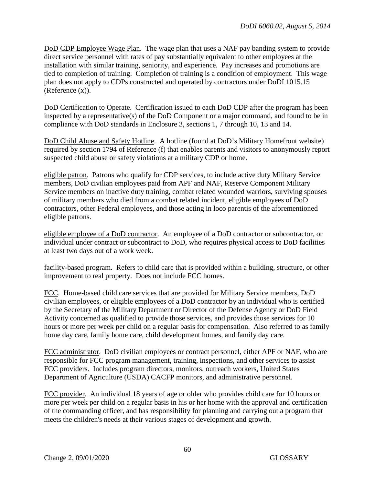DoD CDP Employee Wage Plan. The wage plan that uses a NAF pay banding system to provide direct service personnel with rates of pay substantially equivalent to other employees at the installation with similar training, seniority, and experience. Pay increases and promotions are tied to completion of training. Completion of training is a condition of employment. This wage plan does not apply to CDPs constructed and operated by contractors under DoDI 1015.15 (Reference (x)).

DoD Certification to Operate. Certification issued to each DoD CDP after the program has been inspected by a representative(s) of the DoD Component or a major command, and found to be in compliance with DoD standards in Enclosure 3, sections 1, 7 through 10, 13 and 14.

DoD Child Abuse and Safety Hotline. A hotline (found at DoD's Military Homefront website) required by section 1794 of Reference (f) that enables parents and visitors to anonymously report suspected child abuse or safety violations at a military CDP or home.

eligible patron. Patrons who qualify for CDP services, to include active duty Military Service members, DoD civilian employees paid from APF and NAF, Reserve Component Military Service members on inactive duty training, combat related wounded warriors, surviving spouses of military members who died from a combat related incident, eligible employees of DoD contractors, other Federal employees, and those acting in loco parentis of the aforementioned eligible patrons.

eligible employee of a DoD contractor. An employee of a DoD contractor or subcontractor, or individual under contract or subcontract to DoD, who requires physical access to DoD facilities at least two days out of a work week.

facility-based program. Refers to child care that is provided within a building, structure, or other improvement to real property. Does not include FCC homes.

FCC. Home-based child care services that are provided for Military Service members, DoD civilian employees, or eligible employees of a DoD contractor by an individual who is certified by the Secretary of the Military Department or Director of the Defense Agency or DoD Field Activity concerned as qualified to provide those services, and provides those services for 10 hours or more per week per child on a regular basis for compensation. Also referred to as family home day care, family home care, child development homes, and family day care.

FCC administrator. DoD civilian employees or contract personnel, either APF or NAF, who are responsible for FCC program management, training, inspections, and other services to assist FCC providers. Includes program directors, monitors, outreach workers, United States Department of Agriculture (USDA) CACFP monitors, and administrative personnel.

FCC provider. An individual 18 years of age or older who provides child care for 10 hours or more per week per child on a regular basis in his or her home with the approval and certification of the commanding officer, and has responsibility for planning and carrying out a program that meets the children's needs at their various stages of development and growth.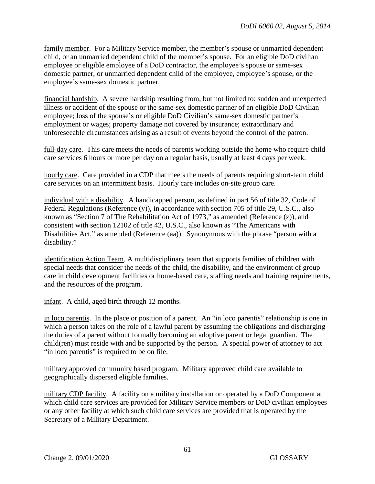family member. For a Military Service member, the member's spouse or unmarried dependent child, or an unmarried dependent child of the member's spouse. For an eligible DoD civilian employee or eligible employee of a DoD contractor, the employee's spouse or same-sex domestic partner, or unmarried dependent child of the employee, employee's spouse, or the employee's same-sex domestic partner.

financial hardship. A severe hardship resulting from, but not limited to: sudden and unexpected illness or accident of the spouse or the same-sex domestic partner of an eligible DoD Civilian employee; loss of the spouse's or eligible DoD Civilian's same-sex domestic partner's employment or wages; property damage not covered by insurance; extraordinary and unforeseeable circumstances arising as a result of events beyond the control of the patron.

full-day care. This care meets the needs of parents working outside the home who require child care services 6 hours or more per day on a regular basis, usually at least 4 days per week.

hourly care. Care provided in a CDP that meets the needs of parents requiring short-term child care services on an intermittent basis. Hourly care includes on-site group care.

individual with a disability. A handicapped person, as defined in part 56 of title 32, Code of Federal Regulations (Reference (y)), in accordance with section 705 of title 29, U.S.C., also known as "Section 7 of The Rehabilitation Act of 1973," as amended (Reference (z)), and consistent with section 12102 of title 42, U.S.C., also known as "The Americans with Disabilities Act," as amended (Reference (aa)). Synonymous with the phrase "person with a disability."

identification Action Team. A multidisciplinary team that supports families of children with special needs that consider the needs of the child, the disability, and the environment of group care in child development facilities or home-based care, staffing needs and training requirements, and the resources of the program.

infant. A child, aged birth through 12 months.

in loco parentis. In the place or position of a parent. An "in loco parentis" relationship is one in which a person takes on the role of a lawful parent by assuming the obligations and discharging the duties of a parent without formally becoming an adoptive parent or legal guardian. The child(ren) must reside with and be supported by the person. A special power of attorney to act "in loco parentis" is required to be on file.

military approved community based program. Military approved child care available to geographically dispersed eligible families.

military CDP facility. A facility on a military installation or operated by a DoD Component at which child care services are provided for Military Service members or DoD civilian employees or any other facility at which such child care services are provided that is operated by the Secretary of a Military Department.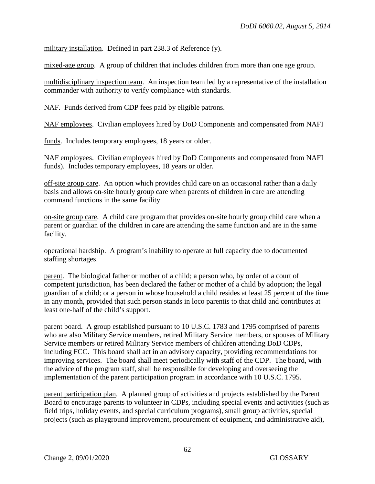military installation. Defined in part 238.3 of Reference (y).

mixed-age group. A group of children that includes children from more than one age group.

multidisciplinary inspection team. An inspection team led by a representative of the installation commander with authority to verify compliance with standards.

NAF. Funds derived from CDP fees paid by eligible patrons.

NAF employees. Civilian employees hired by DoD Components and compensated from NAFI

funds. Includes temporary employees, 18 years or older.

NAF employees. Civilian employees hired by DoD Components and compensated from NAFI funds). Includes temporary employees, 18 years or older.

off-site group care. An option which provides child care on an occasional rather than a daily basis and allows on-site hourly group care when parents of children in care are attending command functions in the same facility.

on-site group care. A child care program that provides on-site hourly group child care when a parent or guardian of the children in care are attending the same function and are in the same facility.

operational hardship. A program's inability to operate at full capacity due to documented staffing shortages.

parent. The biological father or mother of a child; a person who, by order of a court of competent jurisdiction, has been declared the father or mother of a child by adoption; the legal guardian of a child; or a person in whose household a child resides at least 25 percent of the time in any month, provided that such person stands in loco parentis to that child and contributes at least one-half of the child's support.

parent board. A group established pursuant to 10 U.S.C. 1783 and 1795 comprised of parents who are also Military Service members, retired Military Service members, or spouses of Military Service members or retired Military Service members of children attending DoD CDPs, including FCC. This board shall act in an advisory capacity, providing recommendations for improving services. The board shall meet periodically with staff of the CDP. The board, with the advice of the program staff, shall be responsible for developing and overseeing the implementation of the parent participation program in accordance with 10 U.S.C. 1795.

parent participation plan. A planned group of activities and projects established by the Parent Board to encourage parents to volunteer in CDPs, including special events and activities (such as field trips, holiday events, and special curriculum programs), small group activities, special projects (such as playground improvement, procurement of equipment, and administrative aid),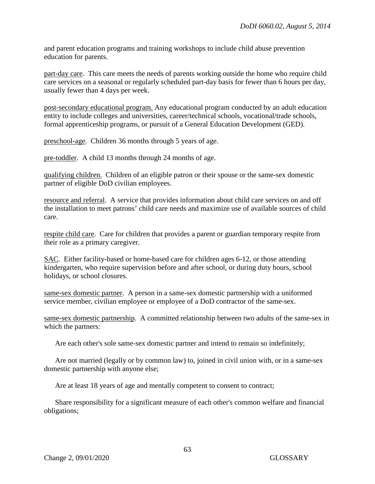and parent education programs and training workshops to include child abuse prevention education for parents.

part-day care. This care meets the needs of parents working outside the home who require child care services on a seasonal or regularly scheduled part-day basis for fewer than 6 hours per day, usually fewer than 4 days per week.

post-secondary educational program. Any educational program conducted by an adult education entity to include colleges and universities, career/technical schools, vocational/trade schools, formal apprenticeship programs, or pursuit of a General Education Development (GED).

preschool-age. Children 36 months through 5 years of age.

pre-toddler. A child 13 months through 24 months of age.

qualifying children. Children of an eligible patron or their spouse or the same-sex domestic partner of eligible DoD civilian employees.

resource and referral. A service that provides information about child care services on and off the installation to meet patrons' child care needs and maximize use of available sources of child care.

respite child care. Care for children that provides a parent or guardian temporary respite from their role as a primary caregiver.

SAC. Either facility-based or home-based care for children ages 6-12, or those attending kindergarten, who require supervision before and after school, or during duty hours, school holidays, or school closures.

same-sex domestic partner. A person in a same-sex domestic partnership with a uniformed service member, civilian employee or employee of a DoD contractor of the same-sex.

same-sex domestic partnership. A committed relationship between two adults of the same-sex in which the partners:

Are each other's sole same-sex domestic partner and intend to remain so indefinitely;

Are not married (legally or by common law) to, joined in civil union with, or in a same-sex domestic partnership with anyone else;

Are at least 18 years of age and mentally competent to consent to contract;

Share responsibility for a significant measure of each other's common welfare and financial obligations;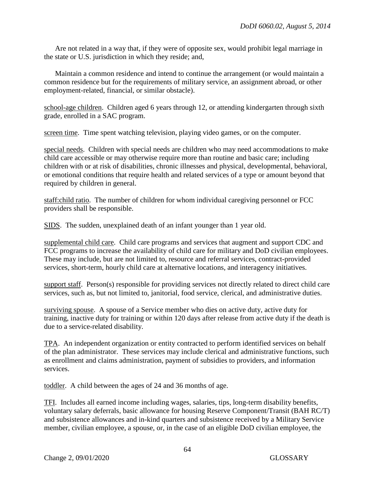Are not related in a way that, if they were of opposite sex, would prohibit legal marriage in the state or U.S. jurisdiction in which they reside; and,

Maintain a common residence and intend to continue the arrangement (or would maintain a common residence but for the requirements of military service, an assignment abroad, or other employment-related, financial, or similar obstacle).

school-age children. Children aged 6 years through 12, or attending kindergarten through sixth grade, enrolled in a SAC program.

screen time. Time spent watching television, playing video games, or on the computer.

special needs. Children with special needs are children who may need accommodations to make child care accessible or may otherwise require more than routine and basic care; including children with or at risk of disabilities, chronic illnesses and physical, developmental, behavioral, or emotional conditions that require health and related services of a type or amount beyond that required by children in general.

staff:child ratio. The number of children for whom individual caregiving personnel or FCC providers shall be responsible.

SIDS. The sudden, unexplained death of an infant younger than 1 year old.

supplemental child care. Child care programs and services that augment and support CDC and FCC programs to increase the availability of child care for military and DoD civilian employees. These may include, but are not limited to, resource and referral services, contract-provided services, short-term, hourly child care at alternative locations, and interagency initiatives.

support staff. Person(s) responsible for providing services not directly related to direct child care services, such as, but not limited to, janitorial, food service, clerical, and administrative duties.

surviving spouse. A spouse of a Service member who dies on active duty, active duty for training, inactive duty for training or within 120 days after release from active duty if the death is due to a service-related disability.

TPA. An independent organization or entity contracted to perform identified services on behalf of the plan administrator. These services may include clerical and administrative functions, such as enrollment and claims administration, payment of subsidies to providers, and information services.

toddler. A child between the ages of 24 and 36 months of age.

TFI. Includes all earned income including wages, salaries, tips, long-term disability benefits, voluntary salary deferrals, basic allowance for housing Reserve Component/Transit (BAH RC/T) and subsistence allowances and in-kind quarters and subsistence received by a Military Service member, civilian employee, a spouse, or, in the case of an eligible DoD civilian employee, the